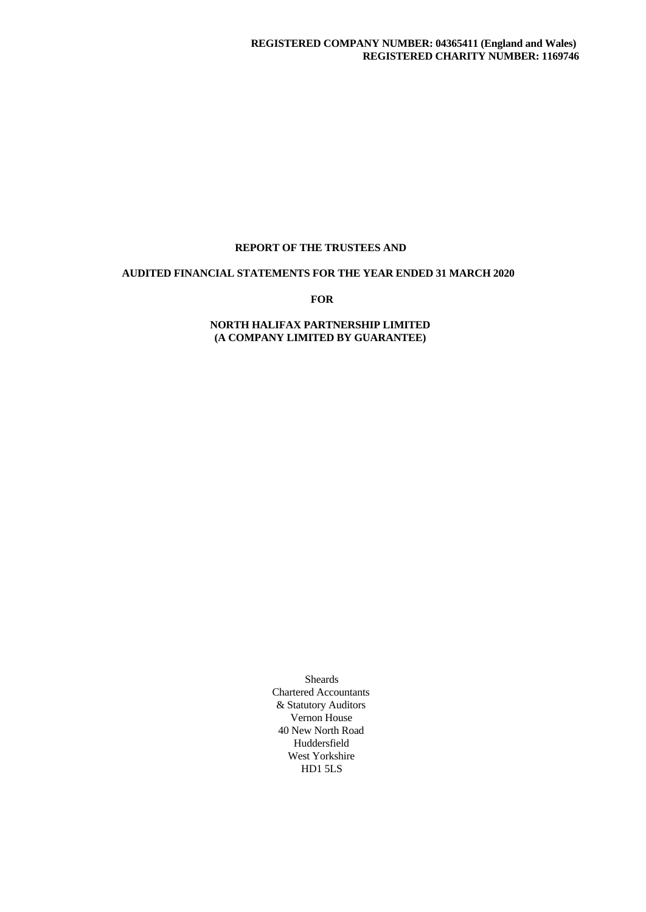# **REPORT OF THE TRUSTEES AND**

#### **AUDITED FINANCIAL STATEMENTS FOR THE YEAR ENDED 31 MARCH 2020**

**FOR**

# **NORTH HALIFAX PARTNERSHIP LIMITED (A COMPANY LIMITED BY GUARANTEE)**

Sheards Chartered Accountants & Statutory Auditors Vernon House 40 New North Road Huddersfield West Yorkshire HD1 5LS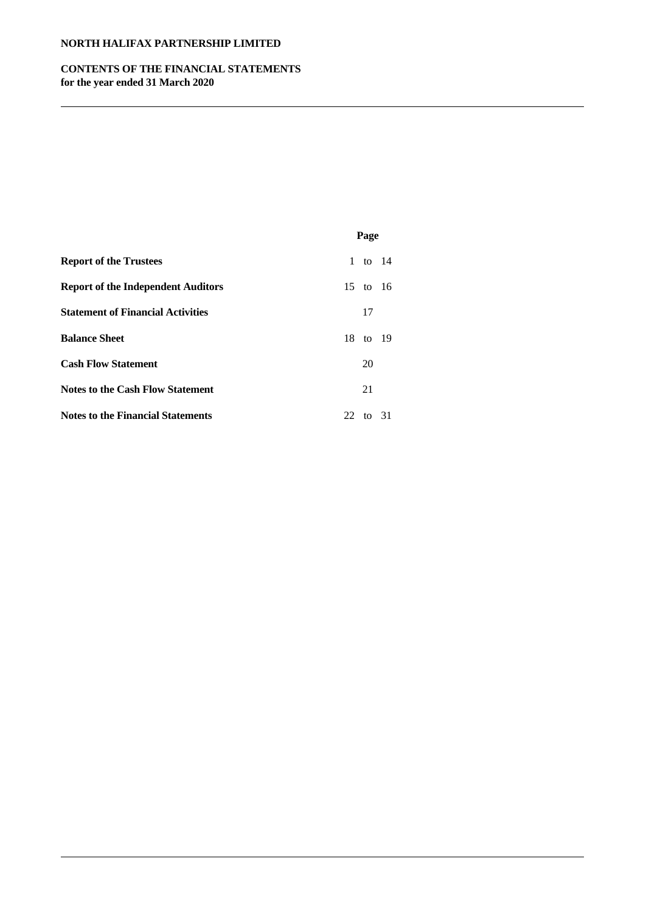# **CONTENTS OF THE FINANCIAL STATEMENTS for the year ended 31 March 2020**

|                                           | Page     |  |
|-------------------------------------------|----------|--|
| <b>Report of the Trustees</b>             | 1 to 14  |  |
| <b>Report of the Independent Auditors</b> | 15 to 16 |  |
| <b>Statement of Financial Activities</b>  | 17       |  |
| <b>Balance Sheet</b>                      | 18 to 19 |  |
| <b>Cash Flow Statement</b>                | 20       |  |
| <b>Notes to the Cash Flow Statement</b>   | 21       |  |
| <b>Notes to the Financial Statements</b>  | 22 to 31 |  |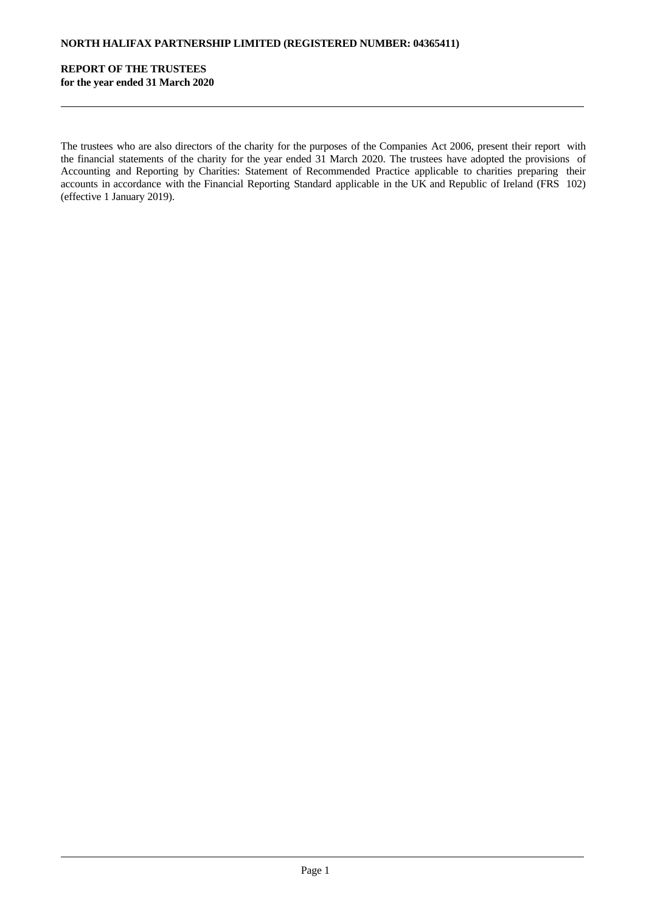The trustees who are also directors of the charity for the purposes of the Companies Act 2006, present their report with the financial statements of the charity for the year ended 31 March 2020. The trustees have adopted the provisions of Accounting and Reporting by Charities: Statement of Recommended Practice applicable to charities preparing their accounts in accordance with the Financial Reporting Standard applicable in the UK and Republic of Ireland (FRS 102) (effective 1 January 2019).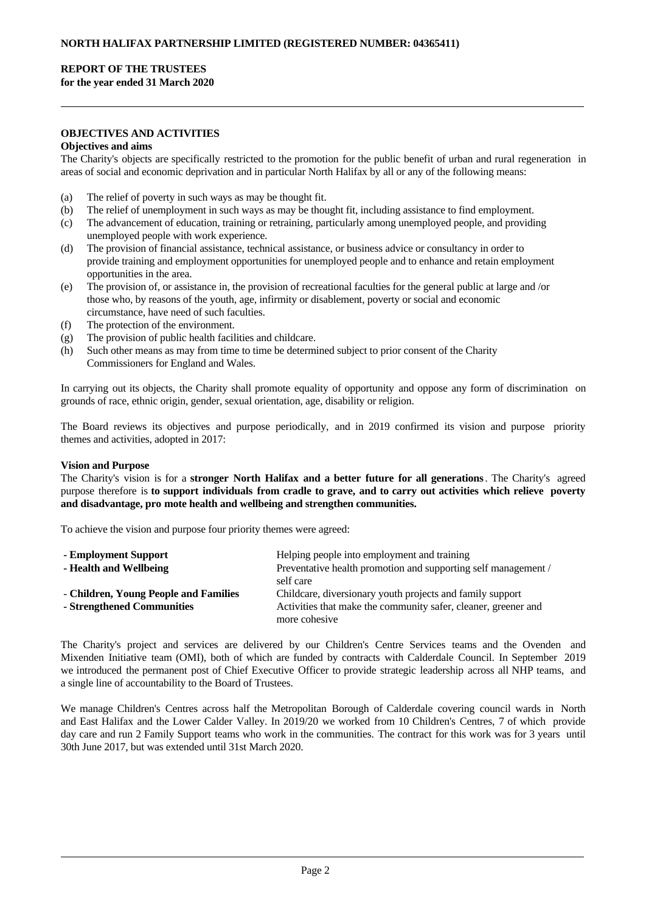# **OBJECTIVES AND ACTIVITIES**

# **Objectives and aims**

The Charity's objects are specifically restricted to the promotion for the public benefit of urban and rural regeneration in areas of social and economic deprivation and in particular North Halifax by all or any of the following means:

- (a) The relief of poverty in such ways as may be thought fit.
- (b) The relief of unemployment in such ways as may be thought fit, including assistance to find employment.
- (c) The advancement of education, training or retraining, particularly among unemployed people, and providing unemployed people with work experience.
- (d) The provision of financial assistance, technical assistance, or business advice or consultancy in order to provide training and employment opportunities for unemployed people and to enhance and retain employment opportunities in the area.
- (e) The provision of, or assistance in, the provision of recreational faculties for the general public at large and /or those who, by reasons of the youth, age, infirmity or disablement, poverty or social and economic circumstance, have need of such faculties.
- (f) The protection of the environment.
- (g) The provision of public health facilities and childcare.
- (h) Such other means as may from time to time be determined subject to prior consent of the Charity Commissioners for England and Wales.

In carrying out its objects, the Charity shall promote equality of opportunity and oppose any form of discrimination on grounds of race, ethnic origin, gender, sexual orientation, age, disability or religion.

The Board reviews its objectives and purpose periodically, and in 2019 confirmed its vision and purpose priority themes and activities, adopted in 2017:

#### **Vision and Purpose**

The Charity's vision is for a **stronger North Halifax and a better future for all generations**. The Charity's agreed purpose therefore is**to support individuals from cradle to grave, and to carry out activities which relieve poverty and disadvantage, pro mote health and wellbeing and strengthen communities.**

To achieve the vision and purpose four priority themes were agreed:

| - Employment Support                  | Helping people into employment and training                    |
|---------------------------------------|----------------------------------------------------------------|
| - Health and Wellbeing                | Preventative health promotion and supporting self management / |
|                                       | self care                                                      |
| - Children, Young People and Families | Childcare, diversionary youth projects and family support      |
| - Strengthened Communities            | Activities that make the community safer, cleaner, greener and |
|                                       | more cohesive                                                  |

The Charity's project and services are delivered by our Children's Centre Services teams and the Ovenden and Mixenden Initiative team (OMI), both of which are funded by contracts with Calderdale Council. In September 2019 we introduced the permanent post of Chief Executive Officer to provide strategic leadership across all NHP teams, and a single line of accountability to the Board of Trustees.

We manage Children's Centres across half the Metropolitan Borough of Calderdale covering council wards in North and East Halifax and the Lower Calder Valley. In 2019/20 we worked from 10 Children's Centres, 7 of which provide day care and run 2 Family Support teams who work in the communities. The contract for this work was for 3 years until 30th June 2017, but was extended until 31st March 2020.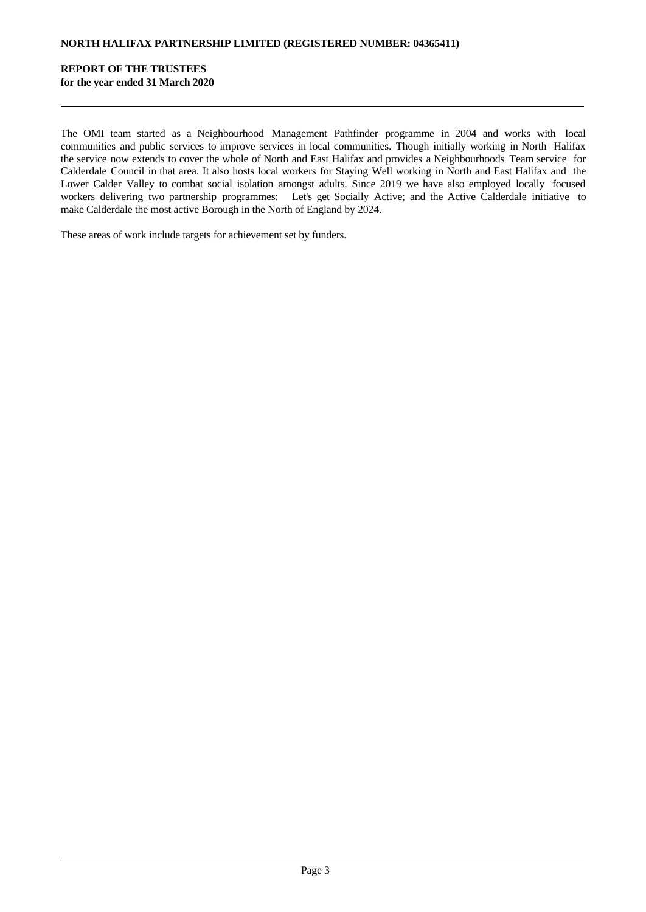The OMI team started as a Neighbourhood Management Pathfinder programme in 2004 and works with local communities and public services to improve services in local communities. Though initially working in North Halifax the service now extends to cover the whole of North and East Halifax and provides a Neighbourhoods Team service for Calderdale Council in that area. It also hosts local workers for Staying Well working in North and East Halifax and the Lower Calder Valley to combat social isolation amongst adults. Since 2019 we have also employed locally focused workers delivering two partnership programmes: Let's get Socially Active; and the Active Calderdale initiative to make Calderdale the most active Borough in the North of England by 2024.

These areas of work include targets for achievement set by funders.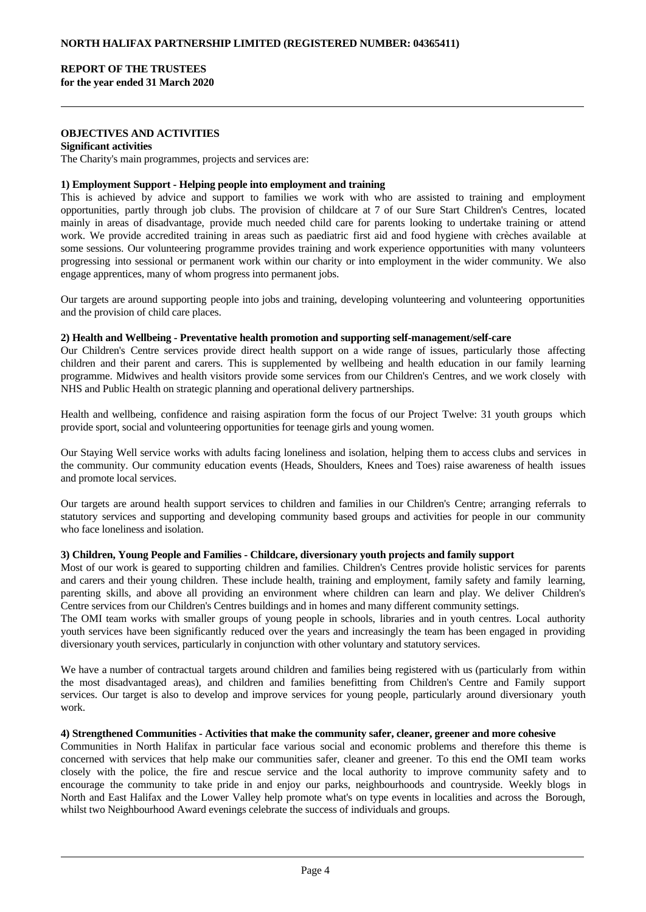# **OBJECTIVES AND ACTIVITIES**

**Significant activities** The Charity's main programmes, projects and services are:

#### **1) Employment Support - Helping people into employment and training**

This is achieved by advice and support to families we work with who are assisted to training and employment opportunities, partly through job clubs. The provision of childcare at 7 of our Sure Start Children's Centres, located mainly in areas of disadvantage, provide much needed child care for parents looking to undertake training or attend work. We provide accredited training in areas such as paediatric first aid and food hygiene with crèches available at some sessions. Our volunteering programme provides training and work experience opportunities with many volunteers progressing into sessional or permanent work within our charity or into employment in the wider community. We also engage apprentices, many of whom progress into permanent jobs.

Our targets are around supporting people into jobs and training, developing volunteering and volunteering opportunities and the provision of child care places.

#### **2) Health and Wellbeing - Preventative health promotion and supporting self-management/self-care**

Our Children's Centre services provide direct health support on a wide range of issues, particularly those affecting children and their parent and carers. This is supplemented by wellbeing and health education in our family learning programme. Midwives and health visitors provide some services from our Children's Centres, and we work closely with NHS and Public Health on strategic planning and operational delivery partnerships.

Health and wellbeing, confidence and raising aspiration form the focus of our Project Twelve: 31 youth groups which provide sport, social and volunteering opportunities for teenage girls and young women.

Our Staying Well service works with adults facing loneliness and isolation, helping them to access clubs and services in the community. Our community education events (Heads, Shoulders, Knees and Toes) raise awareness of health issues and promote local services.

Our targets are around health support services to children and families in our Children's Centre; arranging referrals to statutory services and supporting and developing community based groups and activities for people in our community who face loneliness and isolation.

#### **3) Children, Young People and Families - Childcare, diversionary youth projects and family support**

Most of our work is geared to supporting children and families. Children's Centres provide holistic services for parents and carers and their young children. These include health, training and employment, family safety and family learning, parenting skills, and above all providing an environment where children can learn and play. We deliver Children's Centre services from our Children's Centres buildings and in homes and many different community settings.

The OMI team works with smaller groups of young people in schools, libraries and in youth centres. Local authority youth services have been significantly reduced over the years and increasingly the team has been engaged in providing diversionary youth services, particularly in conjunction with other voluntary and statutory services.

We have a number of contractual targets around children and families being registered with us (particularly from within the most disadvantaged areas), and children and families benefitting from Children's Centre and Family support services. Our target is also to develop and improve services for young people, particularly around diversionary youth work.

#### **4) Strengthened Communities - Activities that make the community safer, cleaner, greener and more cohesive**

Communities in North Halifax in particular face various social and economic problems and therefore this theme is concerned with services that help make our communities safer, cleaner and greener. To this end the OMI team works closely with the police, the fire and rescue service and the local authority to improve community safety and to encourage the community to take pride in and enjoy our parks, neighbourhoods and countryside. Weekly blogs in North and East Halifax and the Lower Valley help promote what's on type events in localities and across the Borough, whilst two Neighbourhood Award evenings celebrate the success of individuals and groups.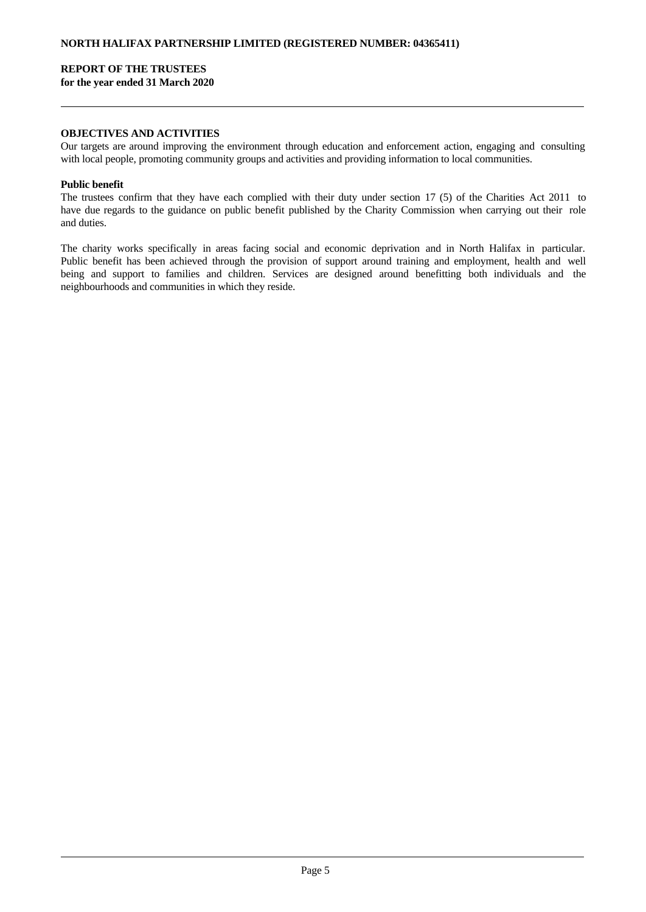#### **OBJECTIVES AND ACTIVITIES**

Our targets are around improving the environment through education and enforcement action, engaging and consulting with local people, promoting community groups and activities and providing information to local communities.

#### **Public benefit**

The trustees confirm that they have each complied with their duty under section 17 (5) of the Charities Act 2011 to have due regards to the guidance on public benefit published by the Charity Commission when carrying out their role and duties.

The charity works specifically in areas facing social and economic deprivation and in North Halifax in particular. Public benefit has been achieved through the provision of support around training and employment, health and well being and support to families and children. Services are designed around benefitting both individuals and the neighbourhoods and communities in which they reside.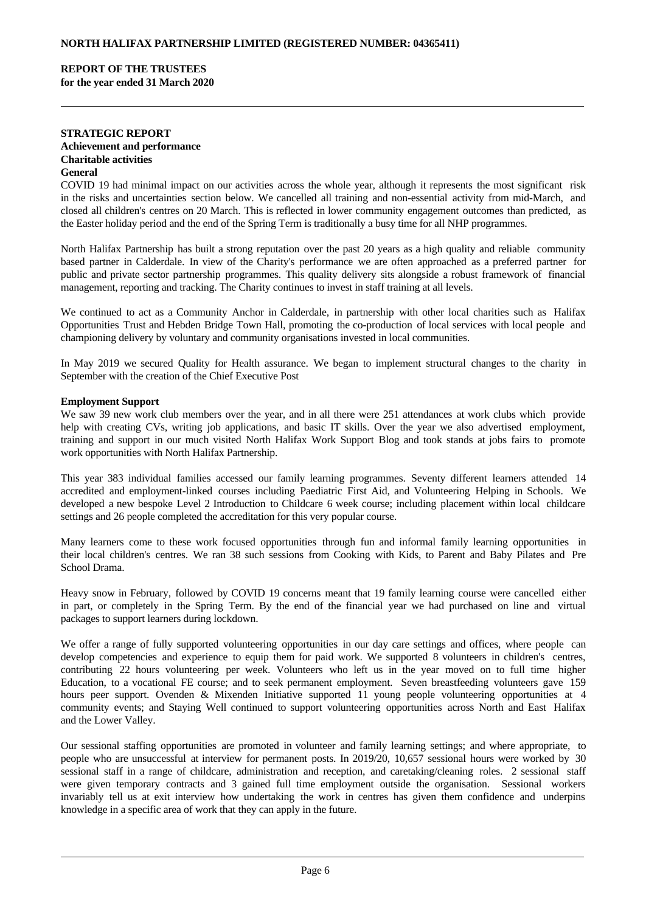#### **STRATEGIC REPORT Achievement and performance Charitable activities General**

COVID 19 had minimal impact on our activities across the whole year, although it represents the most significant risk in the risks and uncertainties section below. We cancelled all training and non-essential activity from mid-March, and closed all children's centres on 20 March. This is reflected in lower community engagement outcomes than predicted, as the Easter holiday period and the end of the Spring Term is traditionally a busy time for all NHP programmes.

North Halifax Partnership has built a strong reputation over the past 20 years as a high quality and reliable community based partner in Calderdale. In view of the Charity's performance we are often approached as a preferred partner for public and private sector partnership programmes. This quality delivery sits alongside a robust framework of financial management, reporting and tracking. The Charity continues to invest in staff training at all levels.

We continued to act as a Community Anchor in Calderdale, in partnership with other local charities such as Halifax Opportunities Trust and Hebden Bridge Town Hall, promoting the co-production of local services with local people and championing delivery by voluntary and community organisations invested in local communities.

In May 2019 we secured Quality for Health assurance. We began to implement structural changes to the charity in September with the creation of the Chief Executive Post

#### **Employment Support**

We saw 39 new work club members over the year, and in all there were 251 attendances at work clubs which provide help with creating CVs, writing job applications, and basic IT skills. Over the year we also advertised employment, training and support in our much visited North Halifax Work Support Blog and took stands at jobs fairs to promote work opportunities with North Halifax Partnership.

This year 383 individual families accessed our family learning programmes. Seventy different learners attended 14 accredited and employment-linked courses including Paediatric First Aid, and Volunteering Helping in Schools. We developed a new bespoke Level 2 Introduction to Childcare 6 week course; including placement within local childcare settings and 26 people completed the accreditation for this very popular course.

Many learners come to these work focused opportunities through fun and informal family learning opportunities in their local children's centres. We ran 38 such sessions from Cooking with Kids, to Parent and Baby Pilates and Pre School Drama.

Heavy snow in February, followed by COVID 19 concerns meant that 19 family learning course were cancelled either in part, or completely in the Spring Term. By the end of the financial year we had purchased on line and virtual packages to support learners during lockdown.

We offer a range of fully supported volunteering opportunities in our day care settings and offices, where people can develop competencies and experience to equip them for paid work. We supported 8 volunteers in children's centres, contributing 22 hours volunteering per week. Volunteers who left us in the year moved on to full time higher Education, to a vocational FE course; and to seek permanent employment. Seven breastfeeding volunteers gave 159 hours peer support. Ovenden & Mixenden Initiative supported 11 young people volunteering opportunities at 4 community events; and Staying Well continued to support volunteering opportunities across North and East Halifax and the Lower Valley.

Our sessional staffing opportunities are promoted in volunteer and family learning settings; and where appropriate, to people who are unsuccessful at interview for permanent posts. In 2019/20, 10,657 sessional hours were worked by 30 sessional staff in a range of childcare, administration and reception, and caretaking/cleaning roles. 2 sessional staff were given temporary contracts and 3 gained full time employment outside the organisation. Sessional workers invariably tell us atexit interview how undertaking the work in centres has given them confidence and underpins knowledge in a specific area of work that they can apply in the future.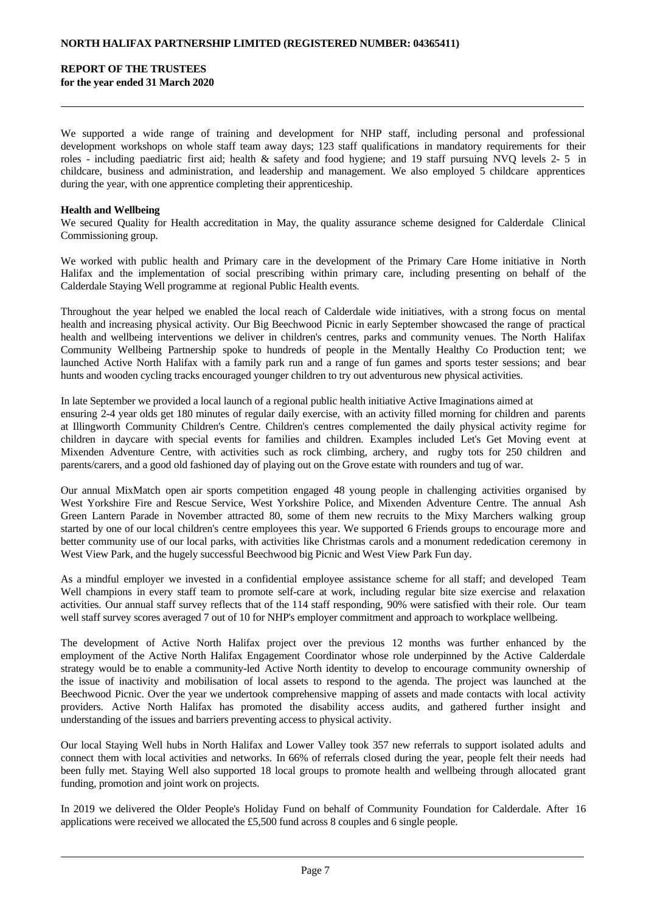We supported a wide range of training and development for NHP staff, including personal and professional development workshops on whole staff team away days; 123 staff qualifications in mandatory requirements for their roles - including paediatric first aid; health & safety and food hygiene; and 19 staff pursuing NVQ levels 2- 5 in childcare, business and administration, and leadership and management. We also employed 5 childcare apprentices during the year, with one apprentice completing their apprenticeship.

#### **Health and Wellbeing**

We secured Quality for Health accreditation in May, the quality assurance scheme designed for Calderdale Clinical Commissioning group.

We worked with public health and Primary care in the development of the Primary Care Home initiative in North Halifax and the implementation of social prescribing within primary care, including presenting on behalf of the Calderdale Staying Well programme at regional Public Health events.

Throughout the yearhelped we enabled the local reach of Calderdale wide initiatives, with a strong focus on mental health and increasing physical activity. Our Big Beechwood Picnic in early September showcased the range of practical health and wellbeing interventions we deliver in children's centres, parks and community venues. The North Halifax Community Wellbeing Partnership spoke to hundreds of people in the Mentally Healthy Co Production tent; we launched Active North Halifax with a family park run and a range of fun games and sports tester sessions; and bear hunts and wooden cycling tracks encouraged younger children to try out adventurous new physical activities.

In late September we provided a local launch of a regional public health initiative Active Imaginations aimed at

ensuring 2-4 year olds get 180 minutes of regular daily exercise, with an activity filled morning for children and parents at Illingworth Community Children's Centre. Children's centres complemented the daily physical activity regime for children in daycare with special events for families and children. Examples included Let's Get Moving event at Mixenden Adventure Centre, with activities such as rock climbing, archery, and rugby tots for 250 children and parents/carers, and a good old fashioned day of playing out on the Grove estate with rounders and tug of war.

Our annual MixMatch open air sports competition engaged 48 young people in challenging activities organised by West Yorkshire Fire and Rescue Service, West Yorkshire Police, and Mixenden Adventure Centre. The annual Ash Green Lantern Parade in November attracted 80, some of them new recruits to the Mixy Marchers walking group started by one of our local children's centre employees this year. We supported 6 Friends groups to encourage more and better community use of our local parks, with activities like Christmas carols and a monument rededication ceremony in West View Park, and the hugely successful Beechwood big Picnic and West View Park Fun day.

As a mindful employer we invested in a confidential employee assistance scheme for all staff; and developed Team Well champions in every staff team to promote self-care at work, including regular bite size exercise and relaxation activities. Our annual staff survey reflects that of the 114 staff responding, 90% were satisfied with their role. Our team well staff survey scores averaged 7 out of 10 for NHP's employer commitment and approach to workplace wellbeing.

The development of Active North Halifax project over the previous 12 months was further enhanced by the employment of the Active North Halifax Engagement Coordinator whose role underpinned by the Active Calderdale strategy would be to enable a community-led Active North identity to develop to encourage community ownership of the issue of inactivity and mobilisation of local assets to respond to the agenda. The projectwas launched at the Beechwood Picnic. Over the year we undertook comprehensive mapping of assets and made contacts with local activity providers. Active North Halifax has promoted the disability access audits, and gathered further insight and understanding of the issues and barriers preventing access to physical activity.

Our local Staying Well hubs in North Halifax and Lower Valley took 357 new referrals to support isolated adults and connect them with local activities and networks. In 66% of referrals closed during the year, people felt their needs had been fully met. Staying Well also supported 18 local groups to promote health and wellbeing through allocated grant funding, promotion and joint work on projects.

In 2019 we delivered the Older People's Holiday Fund on behalf of Community Foundation for Calderdale. After 16 applications were received we allocated the £5,500 fund across 8 couples and 6 single people.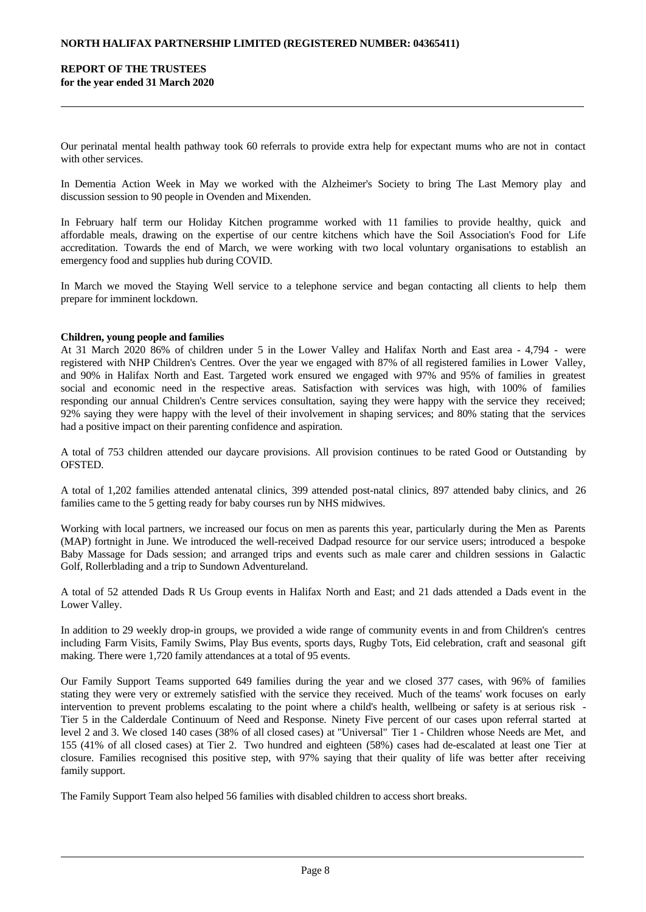Our perinatal mental health pathway took 60 referrals to provide extra help for expectant mums who are not in contact with other services.

In Dementia Action Week in May we worked with the Alzheimer's Society to bring The Last Memory play and discussion session to 90 people in Ovenden and Mixenden.

In February half term our Holiday Kitchen programme worked with 11 families to provide healthy,quick and affordable meals, drawing on the expertise of our centre kitchens which have the Soil Association's Food for Life accreditation. Towards the end of March, we were working with two local voluntary organisations to establish an emergency food and supplies hub during COVID.

In March we moved the Staying Well service to a telephone service and began contacting all clients to help them prepare for imminent lockdown.

#### **Children, young people and families**

At 31 March 2020 86% of children under 5 in the Lower Valley and Halifax North and East area - 4,794 - were registered with NHP Children's Centres. Over the year we engaged with 87% of all registered families in Lower Valley, and 90% in Halifax North and East. Targeted work ensured we engaged with 97% and 95% of families in greatest social and economic need in the respective areas. Satisfaction with services was high, with 100% of families responding our annual Children's Centre services consultation, saying they were happy with the service they received; 92% saying they were happy with the level of their involvement in shaping services; and 80% stating that the services had a positive impact on their parenting confidence and aspiration.

A total of 753 children attended our daycare provisions. All provision continues to be rated Good or Outstanding by OFSTED.

A total of 1,202 families attended antenatal clinics, 399 attended post-natal clinics, 897 attended baby clinics, and 26 families came to the 5 getting ready for baby courses run by NHS midwives.

Working with local partners, we increased our focus on men as parents this year, particularly during the Men as Parents (MAP) fortnight in June. We introduced the well-received Dadpad resource for our service users; introduced a bespoke Baby Massage for Dads session; and arranged trips and events such as male carer and children sessions in Galactic Golf, Rollerblading and a trip to Sundown Adventureland.

A total of 52 attended Dads R Us Group events in Halifax North and East; and 21 dadsattended a Dads event in the Lower Valley.

In addition to 29 weekly drop-in groups, we provided a wide range of community events in and from Children's centres including Farm Visits, Family Swims, Play Bus events, sports days, Rugby Tots, Eid celebration, craft and seasonal gift making. There were 1,720 family attendances at a total of 95 events.

Our Family Support Teams supported 649 families during the yearand we closed 377 cases, with 96% of families stating they were very or extremely satisfied with the service they received. Much of the teams' work focuses on early intervention to prevent problems escalating to the point where a child's health, wellbeing or safety is at serious risk - Tier 5 in the Calderdale Continuum of Need and Response. Ninety Five percent of our cases upon referral started at level 2 and 3. We closed 140 cases (38% of all closed cases) at "Universal" Tier 1 - Children whose Needs are Met, and 155 (41% of all closed cases) atTier 2. Two hundred and eighteen (58%) cases had de-escalated at least one Tier at closure. Families recognised this positive step, with 97% saying that their quality of life was better after receiving family support.

The Family Support Team also helped 56 families with disabled children to access short breaks.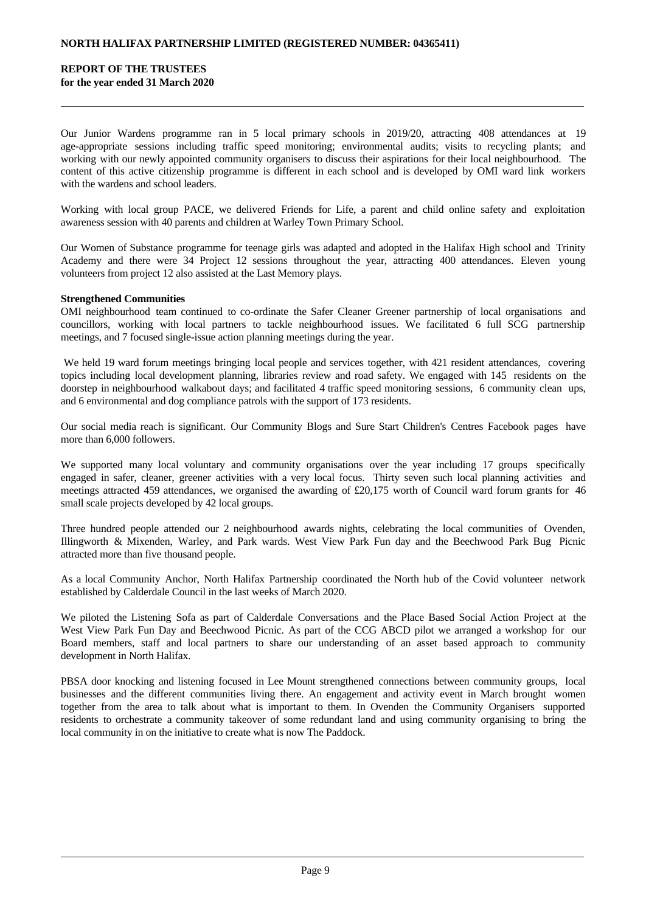Our Junior Wardens programme ran in 5 local primary schools in 2019/20, attracting 408 attendances at 19 age-appropriate sessions including traffic speed monitoring; environmental audits; visits to recycling plants; and working with our newly appointed community organisers to discuss their aspirations for their local neighbourhood. The content of this active citizenship programme is different in each school and is developed by OMI ward link workers with the wardens and school leaders.

Working with local group PACE, we delivered Friends for Life, a parent and child online safety and exploitation awareness session with 40 parents and children at Warley Town Primary School.

Our Women of Substance programme for teenage girls was adapted and adopted in the Halifax High school and Trinity Academy and there were 34 Project 12 sessions throughout the year, attracting 400 attendances. Eleven young volunteers from project 12 also assisted at the Last Memory plays.

#### **Strengthened Communities**

OMI neighbourhood team continued to co-ordinate the Safer Cleaner Greener partnership of local organisations and councillors, working with local partners to tackle neighbourhood issues. We facilitated 6 full SCG partnership meetings, and 7 focused single-issue action planning meetings during the year.

We held 19 ward forum meetings bringing local people and services together, with 421 resident attendances, covering topics including local development planning, libraries review and road safety. We engaged with 145 residents on the doorstep in neighbourhood walkabout days; and facilitated 4 traffic speed monitoring sessions, 6 community clean ups, and 6 environmental and dog compliance patrols with the support of 173 residents.

Our social media reach is significant. Our Community Blogs and Sure Start Children's Centres Facebook pages have more than 6,000 followers.

We supported many local voluntary and community organisations over the year including 17 groups specifically engaged in safer, cleaner, greener activities with a very local focus. Thirty seven such local planning activities and meetings attracted 459 attendances, we organised the awarding of £20,175 worth of Council ward forum grants for 46 small scale projects developed by 42 local groups.

Three hundred people attended our 2 neighbourhood awards nights, celebrating the local communities of Ovenden, Illingworth & Mixenden, Warley, and Park wards. West View Park Funday and the Beechwood Park Bug Picnic attracted more than five thousand people.

As a local Community Anchor, North Halifax Partnership coordinated the North hub of the Covid volunteer network established by Calderdale Council in the last weeks of March 2020.

We piloted the Listening Sofa as part of Calderdale Conversations and the Place Based Social Action Project at the West View Park Fun Day and Beechwood Picnic. As part of the CCG ABCD pilot we arranged a workshop for our Board members, staff and local partners to share our understanding of an asset based approach to community development in North Halifax.

PBSA door knocking and listening focused in Lee Mount strengthened connections between community groups, local businesses and the different communities living there. An engagement and activity event in March brought women together from the area to talk about what is important to them. In Ovenden the Community Organisers supported residents to orchestrate a community takeover of some redundant land and using community organising to bring the local community in on the initiative to create what is now The Paddock.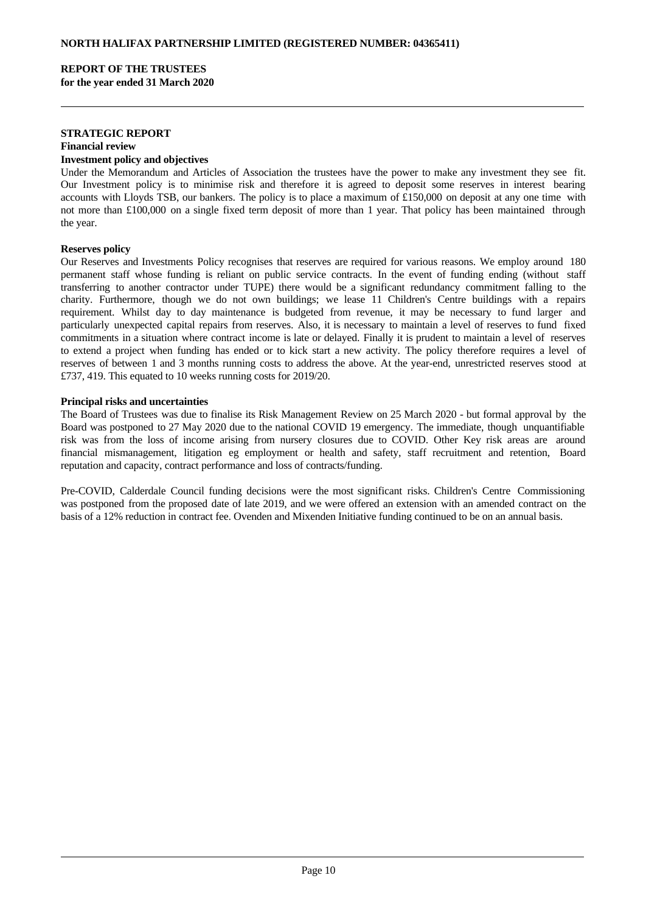# **STRATEGIC REPORT**

# **Financial review**

# **Investment policy and objectives**

Under the Memorandum and Articles of Association the trustees have the power to make any investment they see fit. Our Investment policy is to minimise risk and therefore it is agreed to deposit some reserves in interest bearing accounts with Lloyds TSB, our bankers. The policy is to place a maximum of  $£150,000$  on deposit at any one time with not more than £100,000 on a single fixed term deposit of more than 1 year. That policy has been maintained through the year.

#### **Reserves policy**

Our Reserves and Investments Policy recognises that reserves are required for various reasons. We employ around 180 permanent staff whose funding is reliant on public service contracts. In the event of funding ending (without staff transferring to another contractor under TUPE) there would be a significant redundancy commitment falling to the charity. Furthermore, though we do not own buildings; we lease 11 Children's Centre buildings with a repairs requirement. Whilst day to day maintenance is budgeted from revenue, it may be necessary to fund larger and particularly unexpected capital repairs from reserves. Also, it is necessary to maintain a level of reserves to fund fixed commitments in a situation where contract income is late or delayed. Finally it is prudent to maintain a level of reserves to extend a project when funding has ended or to kick start a new activity. The policy therefore requires a level of reserves of between 1 and 3 months running costs to address the above. At the year-end, unrestricted reserves stood at £737, 419. This equated to 10 weeks running costs for 2019/20.

#### **Principal risks and uncertainties**

The Board of Trustees was due to finalise its Risk Management Review on 25 March 2020 - but formal approval by the Board was postponed to 27 May 2020 due to the national COVID 19 emergency.The immediate, though unquantifiable risk was from the loss of income arising from nursery closures due to COVID. Other Key risk areas are around financial mismanagement, litigation eg employment or health and safety, staff recruitment and retention, Board reputation and capacity, contract performance and loss of contracts/funding.

Pre-COVID, Calderdale Council funding decisions were the most significant risks. Children's Centre Commissioning was postponed from the proposed date of late 2019, and we were offered an extension with an amended contract on the basis of a 12% reduction in contract fee. Ovenden and Mixenden Initiative funding continued to be on an annual basis.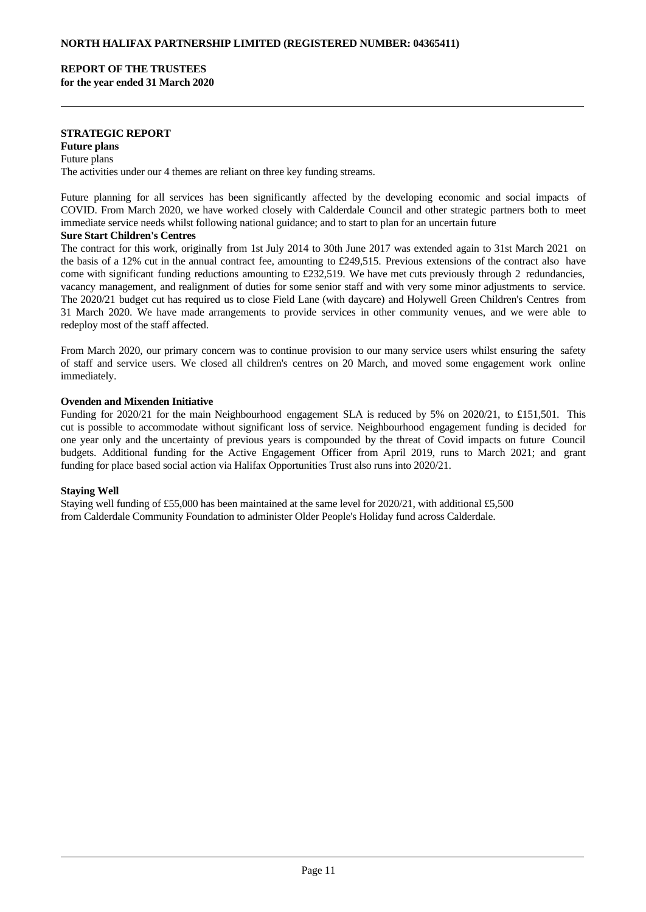# **STRATEGIC REPORT**

**Future plans** Future plans The activities under our 4 themes are reliant on three key funding streams.

Future planning for all services has been significantly affected by the developing economic and social impacts of COVID. From March 2020, we have worked closely with Calderdale Council and other strategic partners both to meet immediate service needs whilst following national guidance; and to start to plan for an uncertain future

#### **Sure Start Children's Centres**

The contract for this work, originally from 1st July 2014 to 30th June 2017 was extended again to 31st March 2021 on the basis of a 12% cut in the annual contract fee, amounting to £249,515. Previous extensions of the contract also have come with significant funding reductions amounting to £232,519. We have met cuts previously through 2 redundancies, vacancy management, and realignment of duties for some senior staff and with very some minor adjustments to service. The 2020/21 budget cut has required us to close Field Lane (with daycare) and Holywell Green Children's Centres from 31 March 2020. We have made arrangements to provide services in other community venues, and we were able to redeploy most of the staff affected.

From March 2020, our primary concern was to continue provision to our many service users whilst ensuring the safety of staff and service users. We closed all children's centres on 20 March, and moved some engagement work online immediately.

#### **Ovenden and Mixenden Initiative**

Funding for 2020/21 for the main Neighbourhood engagement SLA is reduced by 5% on 2020/21, to £151,501. This cut is possible to accommodate without significant loss of service. Neighbourhood engagement funding is decided for one year only and the uncertainty of previous years is compounded by the threat of Covid impacts on future Council budgets. Additional funding for the Active Engagement Officer from April 2019, runs to March 2021; and grant funding for place based social action via Halifax Opportunities Trust also runs into 2020/21.

#### **Staying Well**

Staying well funding of £55,000 has been maintained at the same level for 2020/21, with additional £5,500 from Calderdale Community Foundation to administer Older People's Holiday fund across Calderdale.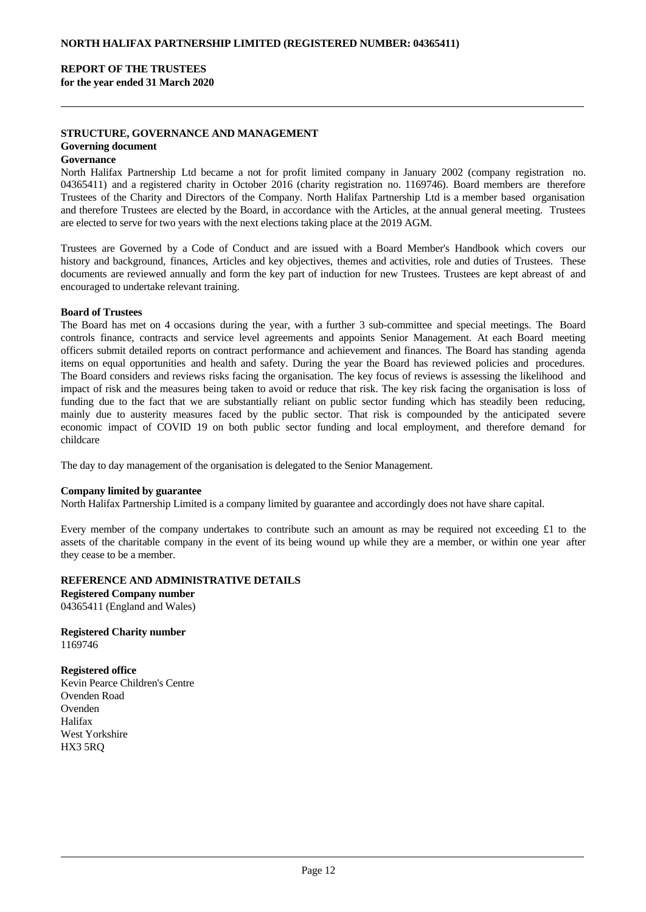# **STRUCTURE, GOVERNANCE AND MANAGEMENT**

# **Governing document**

# **Governance**

North Halifax Partnership Ltd became a not for profit limited company in January 2002 (company registration no. 04365411) and a registered charity in October 2016 (charity registration no. 1169746). Board members are therefore Trustees of the Charity and Directors of the Company. North Halifax Partnership Ltd is a member based organisation and therefore Trustees are elected by the Board, in accordance with the Articles, at the annual general meeting. Trustees are elected to serve for two years with the next elections taking place at the 2019 AGM.

Trustees are Governed by a Code of Conduct and are issued with a Board Member's Handbook which covers our history and background, finances, Articles and key objectives, themes and activities, role and duties of Trustees. These documents are reviewed annually and form the key part of induction for new Trustees. Trustees are kept abreast of and encouraged to undertake relevant training.

#### **Board of Trustees**

The Board has met on 4 occasions during the year, with a further 3 sub-committee and special meetings. The Board controls finance, contracts and service level agreements and appoints Senior Management. At each Board meeting officers submit detailed reports on contract performance and achievement and finances. The Board has standing agenda items on equal opportunities and health and safety.During the year the Board has reviewed policies and procedures. The Board considers and reviews risks facing the organisation. The key focus of reviews is assessing the likelihood and impact of risk and the measures being taken to avoid or reduce that risk. The key risk facing the organisation is loss of funding due to the fact that we are substantially reliant on public sector funding which has steadily been reducing, mainly due to austerity measures faced by the public sector. That risk is compounded by the anticipated severe economic impact of COVID 19 on both public sector funding and local employment, and therefore demand for childcare

The day to day management of the organisation is delegated to the Senior Management.

#### **Company limited by guarantee**

North Halifax Partnership Limited is a company limited by guarantee and accordingly does not have share capital.

Every member of the company undertakes to contribute such an amount as may be required not exceeding £1 to the assets of the charitable company in the event of its being wound up while they are a member, or within one year after they cease to be a member.

#### **REFERENCE AND ADMINISTRATIVE DETAILS**

**Registered Company number** 04365411 (England and Wales)

**Registered Charity number** 1169746

**Registered office** Kevin Pearce Children's Centre Ovenden Road Ovenden Halifax West Yorkshire HX3 5RQ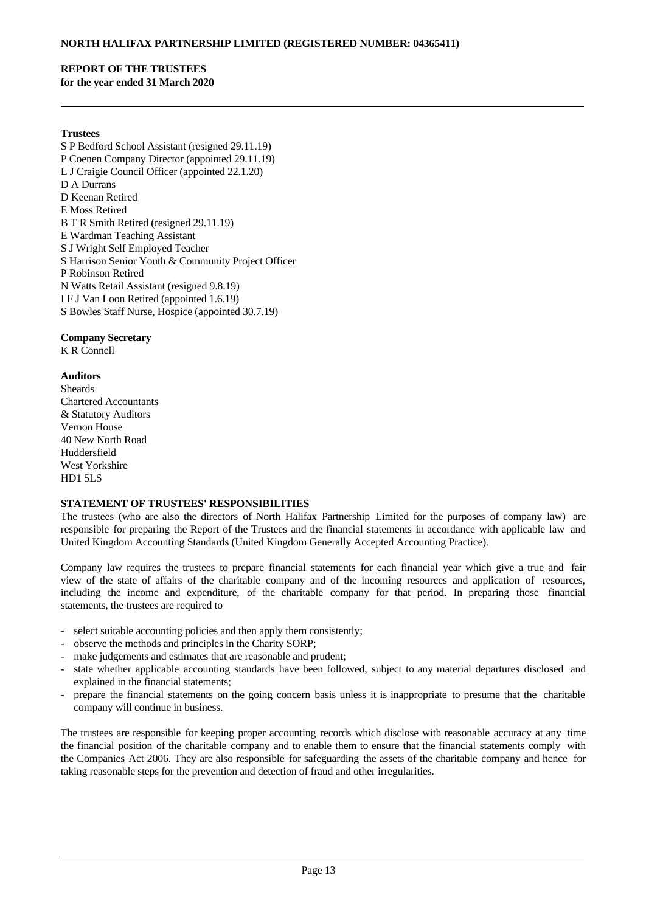#### **Trustees**

S P Bedford School Assistant (resigned 29.11.19) P Coenen Company Director (appointed 29.11.19) L J Craigie Council Officer (appointed 22.1.20) D A Durrans D Keenan Retired E Moss Retired B T R Smith Retired (resigned 29.11.19) E Wardman Teaching Assistant S J Wright Self Employed Teacher S Harrison Senior Youth & Community Project Officer P Robinson Retired N Watts Retail Assistant (resigned 9.8.19) I F J Van Loon Retired (appointed 1.6.19) S Bowles Staff Nurse, Hospice (appointed 30.7.19)

#### **Company Secretary**

K R Connell

#### **Auditors**

Sheards Chartered Accountants & Statutory Auditors Vernon House 40 New North Road Huddersfield West Yorkshire HD1 5LS

#### **STATEMENT OF TRUSTEES' RESPONSIBILITIES**

The trustees (who are also the directors of North Halifax Partnership Limited for the purposes of company law) are responsible for preparing the Report of the Trustees and the financial statements in accordance with applicable law and United Kingdom Accounting Standards (United Kingdom Generally Accepted Accounting Practice).

Company law requires the trustees to prepare financial statements for each financial year which give a true and fair view of the state of affairs of the charitable company and of the incoming resources and application of resources, including the income and expenditure, of the charitable company for that period. In preparing those financial Statements, the trustees are required to<br>
Statements, the trustees are required to<br>
Statements and principles in the Charity SORP;<br>
The conserver the methods and principles in the Charity SORP;<br>
The conserver the methods a

- 
- 
- 
- explained in the financial statements;<br>- prepare the financial statements on the going concern basis unless it is inappropriate to presume that the charitable
- company will continue in business.

The trustees are responsible for keeping proper accounting records which disclose with reasonable accuracy at any time the financial position of the charitable company and to enable them to ensure that the financial statements comply with the Companies Act 2006. They are also responsible for safeguarding the assets of the charitable company and hence for taking reasonable steps for the prevention and detection of fraud and other irregularities.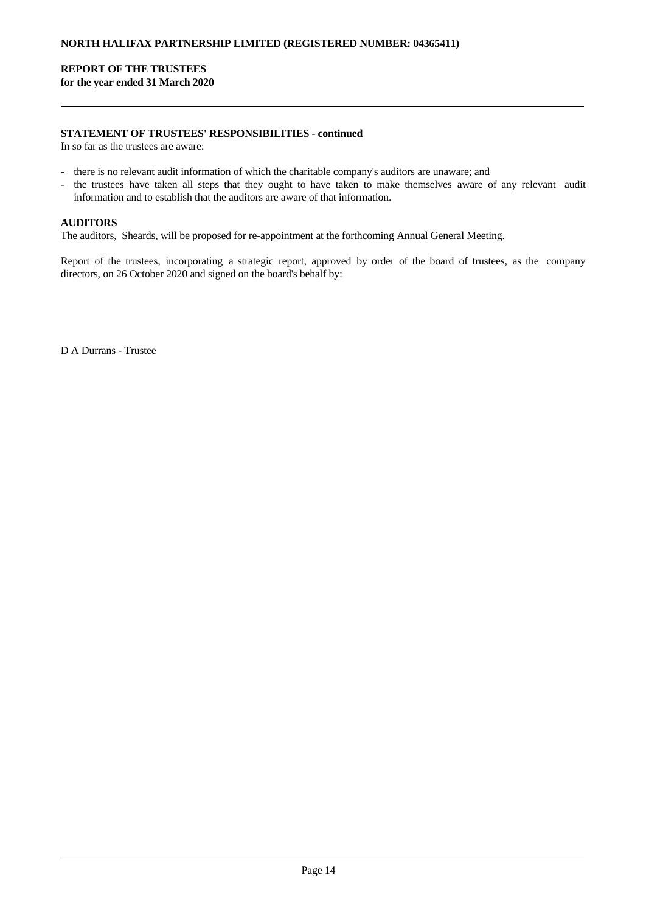#### **STATEMENT OF TRUSTEES' RESPONSIBILITIES - continued**

- 
- In so far as the trustees are aware:<br>- there is no relevant audit information of which the charitable company's auditors are unaware; and<br>- the trustees have taken all steps that they ought to have taken to make themselves information and to establish that the auditors are aware of that information.

# **AUDITORS**

The auditors, Sheards, will be proposed for re-appointment at the forthcoming Annual General Meeting.

Report of the trustees, incorporating astrategic report, approved by order of the board of trustees, as the company directors, on 26 October 2020 and signed on the board's behalf by:

D A Durrans - Trustee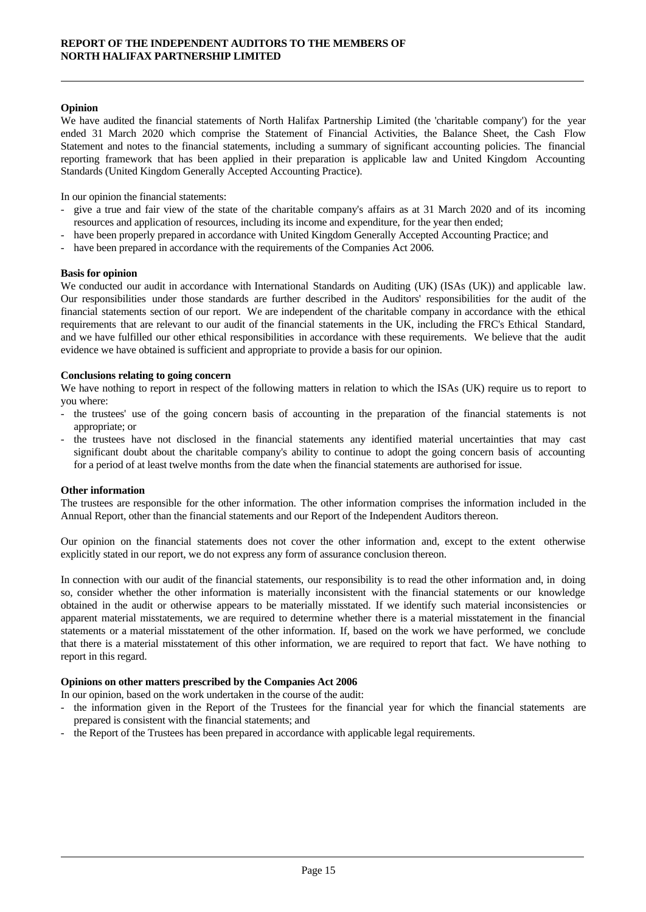#### **Opinion**

We have audited the financial statements of North Halifax Partnership Limited (the 'charitable company') for the year ended 31 March 2020 which comprise the Statement of Financial Activities, the Balance Sheet, the Cash Flow Statement and notes to the financial statements, including a summary of significant accounting policies. The financial reporting framework that has been applied in their preparation is applicable law and United Kingdom Accounting Standards (United Kingdom Generally Accepted Accounting Practice).

In our opinion the financial statements:

- give a true and fair view of the state of the charitable company's affairs as at 31 March 2020 and of its incoming
- resources and application of resources, including its income and expenditure, for the year then ended;<br>- have been properly prepared in accordance with United Kingdom Generally Accepted Accounting Practice; and<br>- have been
- 

#### **Basis for opinion**

We conducted our audit in accordance with International Standards on Auditing (UK) (ISAs (UK)) and applicable law. Our responsibilities under those standards are further described in the Auditors' responsibilities for the audit of the financial statements section of our report. We are independent of the charitable company in accordance with the ethical requirements that are relevant to our audit of the financial statements in the UK, including the FRC's Ethical Standard, and we have fulfilled our other ethical responsibilities in accordance with these requirements. We believe that the audit evidence we have obtained is sufficient and appropriate to provide a basis for our opinion.

#### **Conclusions relating to going concern**

We have nothing to report in respect of the following matters in relation to which the ISAs (UK) require us to report to

- you where:<br>- the trustees' use of the going concern basis of accounting in the preparation of the financial statements is not appropriate; or<br>- the trustees have not disclosed in the financial statements any identified material uncertainties that may cast
- significant doubt about the charitable company's ability to continue to adopt the going concern basis of accounting for a period of at least twelve months from the date when the financial statements are authorised for issue.

#### **Other information**

The trustees are responsible for the other information. The other information comprises the information included in the Annual Report, other than the financial statements and our Report of the Independent Auditors thereon.

Our opinion on the financial statements does not cover the other information and, except to the extent otherwise explicitly stated in our report, we do not express any form of assurance conclusion thereon.

In connection with our audit of the financial statements, our responsibility is to read the other information and, in doing so, consider whether the other information is materially inconsistent with the financial statements or our knowledge obtained in the audit or otherwise appears to be materially misstated. If we identify such material inconsistencies or apparent material misstatements, we are required to determine whether there is a material misstatement in the financial statements or a material misstatement of the other information. If, based on the work we have performed, we conclude that there is a material misstatement of this other information, we are required to report that fact. We have nothing to report in this regard.

#### **Opinions on other matters prescribed by the Companies Act 2006**

In our opinion, based on the work undertaken in the course of the audit:

- the information given in the Report of the Trustees for the financial year for which the financial statements are prepared is consistent with the financial statements; and<br>the Report of the Trustees has been prepared in accordance with applicable legal requirements.
-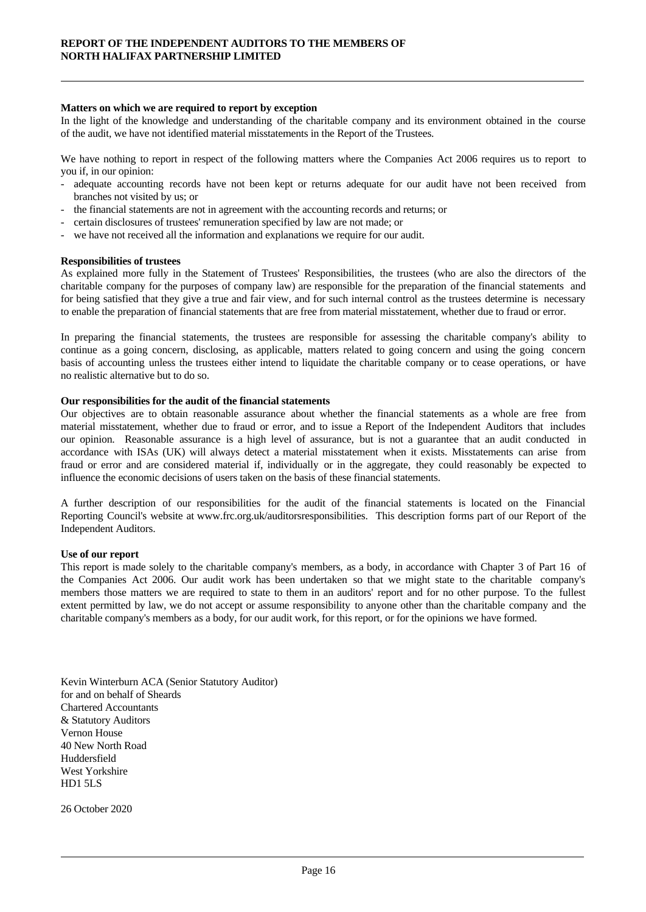#### **Matters on which we are required to report by exception**

In the light of the knowledge and understanding of the charitable company and its environment obtained in the course of the audit, we have not identified material misstatements in the Report of the Trustees.

We have nothing to report in respect of the following matters where the Companies Act 2006 requires us to report to you if, in our opinion:<br>- adequate accounting records have not been kept or returns adequate for our audit have not been received from

- 
- branches not visited by us; or<br>the financial statements are not in agreement with the accounting records and returns; or<br>ertain disclosures of trustees' remuneration specified by law are not made; or<br>we have not received a
- 
- 

#### **Responsibilities of trustees**

As explained more fully in the Statement of Trustees' Responsibilities, the trustees (who are also the directors of the charitable company for the purposes of company law) are responsible for the preparation of the financial statements and for being satisfied that they give a true and fair view, and for such internal control as the trustees determine is necessary to enable the preparation of financial statements that are free from material misstatement, whether due to fraud or error.

In preparing the financial statements, the trustees are responsible for assessing the charitable company's ability to continue as a going concern, disclosing, as applicable, matters related to going concern and using the going concern basis of accounting unless the trustees either intend to liquidate the charitable company or to cease operations, or have no realistic alternative but to do so.

#### **Our responsibilities for the audit of the financial statements**

Our objectives are to obtain reasonable assurance about whether the financial statements as a whole are free from material misstatement, whether due to fraud or error, and to issue a Report of the Independent Auditors that includes our opinion. Reasonable assurance is a high level of assurance, but is not a guarantee that an audit conducted in accordance with ISAs (UK) will always detect a material misstatement when it exists. Misstatements can arise from fraud or error and are considered material if, individually or in the aggregate, they could reasonably be expected to influence the economic decisions of users taken on the basis of these financial statements.

A further description of our responsibilities for the audit of the financial statements is located on the Financial Reporting Council's website at www.frc.org.uk/auditorsresponsibilities. This description forms part of our Report of the Independent Auditors.

#### **Use of our report**

This report is made solely to the charitable company's members, as a body, in accordance with Chapter 3 of Part 16 of the Companies Act 2006. Our audit work has been undertaken so that we might state to the charitable company's members those matters we are required to state to them in an auditors' report and for no other purpose. To the fullest extent permitted by law, we do not accept or assume responsibility to anyone other than the charitable company and the charitable company's members as a body, for our audit work, for this report, or for the opinions we have formed.

Kevin Winterburn ACA (Senior Statutory Auditor) for and on behalf of Sheards Chartered Accountants & Statutory Auditors Vernon House 40 New North Road Huddersfield West Yorkshire HD1 5LS

26 October 2020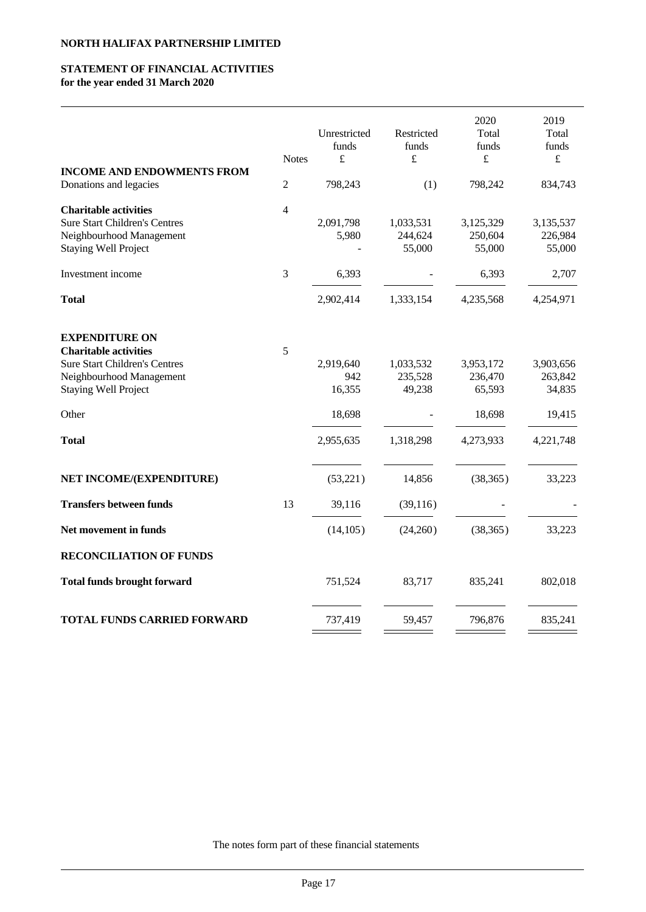# **STATEMENT OF FINANCIAL ACTIVITIES for the year ended 31 March 2020**

|                                                             | <b>Notes</b>            | Unrestricted<br>funds<br>£ | Restricted<br>funds<br>£ | 2020<br>Total<br>funds<br>$\pounds$ | 2019<br>Total<br>funds<br>$\pounds$ |
|-------------------------------------------------------------|-------------------------|----------------------------|--------------------------|-------------------------------------|-------------------------------------|
| <b>INCOME AND ENDOWMENTS FROM</b><br>Donations and legacies | $\mathbf{2}$            | 798,243                    | (1)                      | 798,242                             | 834,743                             |
|                                                             |                         |                            |                          |                                     |                                     |
| <b>Charitable activities</b>                                | $\overline{\mathbf{4}}$ |                            |                          |                                     |                                     |
| <b>Sure Start Children's Centres</b>                        |                         | 2,091,798                  | 1,033,531                | 3,125,329                           | 3,135,537                           |
| Neighbourhood Management                                    |                         | 5,980                      | 244,624                  | 250,604                             | 226,984                             |
| <b>Staying Well Project</b>                                 |                         |                            | 55,000                   | 55,000                              | 55,000                              |
| Investment income                                           | 3                       | 6,393                      |                          | 6,393                               | 2,707                               |
| <b>Total</b>                                                |                         | 2,902,414                  | 1,333,154                | 4,235,568                           | 4,254,971                           |
| <b>EXPENDITURE ON</b>                                       |                         |                            |                          |                                     |                                     |
| <b>Charitable activities</b>                                | 5                       |                            |                          |                                     |                                     |
| <b>Sure Start Children's Centres</b>                        |                         | 2,919,640                  | 1,033,532                | 3,953,172                           | 3,903,656                           |
| Neighbourhood Management                                    |                         | 942                        | 235,528                  | 236,470                             | 263,842                             |
| <b>Staying Well Project</b>                                 |                         | 16,355                     | 49,238                   | 65,593                              | 34,835                              |
| Other                                                       |                         | 18,698                     |                          | 18,698                              | 19,415                              |
| <b>Total</b>                                                |                         | 2,955,635                  | 1,318,298                | 4,273,933                           | 4,221,748                           |
| NET INCOME/(EXPENDITURE)                                    |                         | (53,221)                   | 14,856                   | (38, 365)                           | 33,223                              |
| <b>Transfers between funds</b>                              | 13                      | 39,116                     | (39,116)                 |                                     |                                     |
| Net movement in funds                                       |                         | (14, 105)                  | (24,260)                 | (38, 365)                           | 33,223                              |
| <b>RECONCILIATION OF FUNDS</b>                              |                         |                            |                          |                                     |                                     |
| <b>Total funds brought forward</b>                          |                         | 751,524                    | 83,717                   | 835,241                             | 802,018                             |
| <b>TOTAL FUNDS CARRIED FORWARD</b>                          |                         | 737,419                    | 59,457                   | 796,876                             | 835,241                             |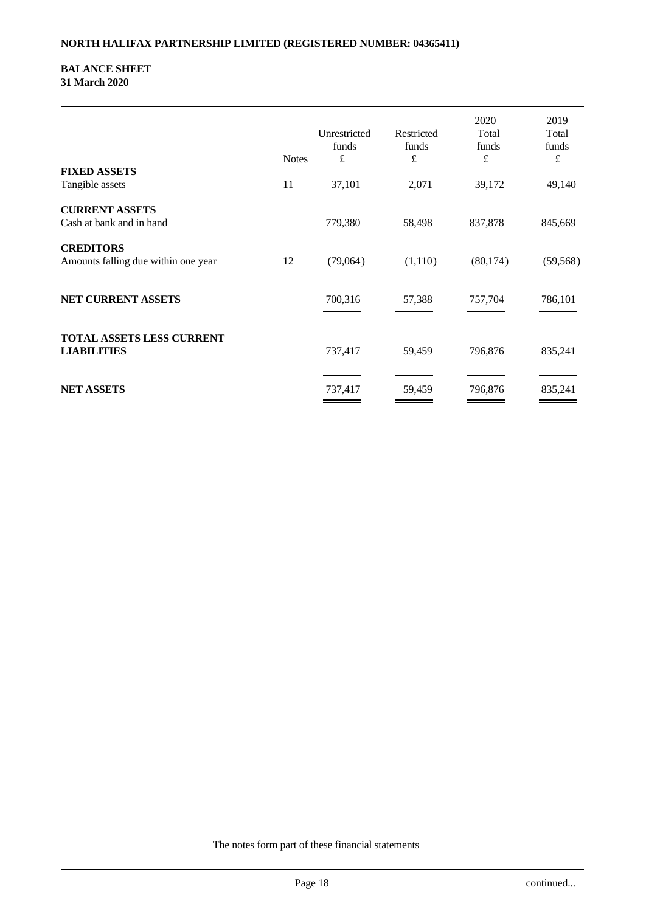# **NORTH HALIFAX PARTNERSHIP LIMITED (REGISTERED NUMBER: 04365411)**

## **BALANCE SHEET 31 March 2020**

| 2020<br>2019<br>Unrestricted<br>Total<br>Restricted<br>Total<br>funds<br>funds<br>funds<br>funds<br>$\pounds$<br>$\pounds$<br>£<br><b>Notes</b><br>£<br>37,101<br>2,071<br>39,172<br>49,140<br>11<br>845,669<br>779,380<br>58,498<br>837,878<br><b>CREDITORS</b><br>Amounts falling due within one year<br>12<br>(79,064)<br>(1,110)<br>(80, 174)<br>(59, 568)<br>NET CURRENT ASSETS<br>700,316<br>57,388<br>757,704<br>786,101<br><b>TOTAL ASSETS LESS CURRENT</b><br><b>LIABILITIES</b><br>737,417<br>835,241<br>59,459<br>796,876<br><b>NET ASSETS</b><br>737,417<br>59,459<br>796,876<br>835,241 |                          |  |  |  |
|------------------------------------------------------------------------------------------------------------------------------------------------------------------------------------------------------------------------------------------------------------------------------------------------------------------------------------------------------------------------------------------------------------------------------------------------------------------------------------------------------------------------------------------------------------------------------------------------------|--------------------------|--|--|--|
|                                                                                                                                                                                                                                                                                                                                                                                                                                                                                                                                                                                                      |                          |  |  |  |
|                                                                                                                                                                                                                                                                                                                                                                                                                                                                                                                                                                                                      |                          |  |  |  |
|                                                                                                                                                                                                                                                                                                                                                                                                                                                                                                                                                                                                      |                          |  |  |  |
|                                                                                                                                                                                                                                                                                                                                                                                                                                                                                                                                                                                                      |                          |  |  |  |
|                                                                                                                                                                                                                                                                                                                                                                                                                                                                                                                                                                                                      | <b>FIXED ASSETS</b>      |  |  |  |
|                                                                                                                                                                                                                                                                                                                                                                                                                                                                                                                                                                                                      | Tangible assets          |  |  |  |
|                                                                                                                                                                                                                                                                                                                                                                                                                                                                                                                                                                                                      | <b>CURRENT ASSETS</b>    |  |  |  |
|                                                                                                                                                                                                                                                                                                                                                                                                                                                                                                                                                                                                      | Cash at bank and in hand |  |  |  |
|                                                                                                                                                                                                                                                                                                                                                                                                                                                                                                                                                                                                      |                          |  |  |  |
|                                                                                                                                                                                                                                                                                                                                                                                                                                                                                                                                                                                                      |                          |  |  |  |
|                                                                                                                                                                                                                                                                                                                                                                                                                                                                                                                                                                                                      |                          |  |  |  |
|                                                                                                                                                                                                                                                                                                                                                                                                                                                                                                                                                                                                      |                          |  |  |  |
|                                                                                                                                                                                                                                                                                                                                                                                                                                                                                                                                                                                                      |                          |  |  |  |
|                                                                                                                                                                                                                                                                                                                                                                                                                                                                                                                                                                                                      |                          |  |  |  |
|                                                                                                                                                                                                                                                                                                                                                                                                                                                                                                                                                                                                      |                          |  |  |  |
|                                                                                                                                                                                                                                                                                                                                                                                                                                                                                                                                                                                                      |                          |  |  |  |
|                                                                                                                                                                                                                                                                                                                                                                                                                                                                                                                                                                                                      |                          |  |  |  |
|                                                                                                                                                                                                                                                                                                                                                                                                                                                                                                                                                                                                      |                          |  |  |  |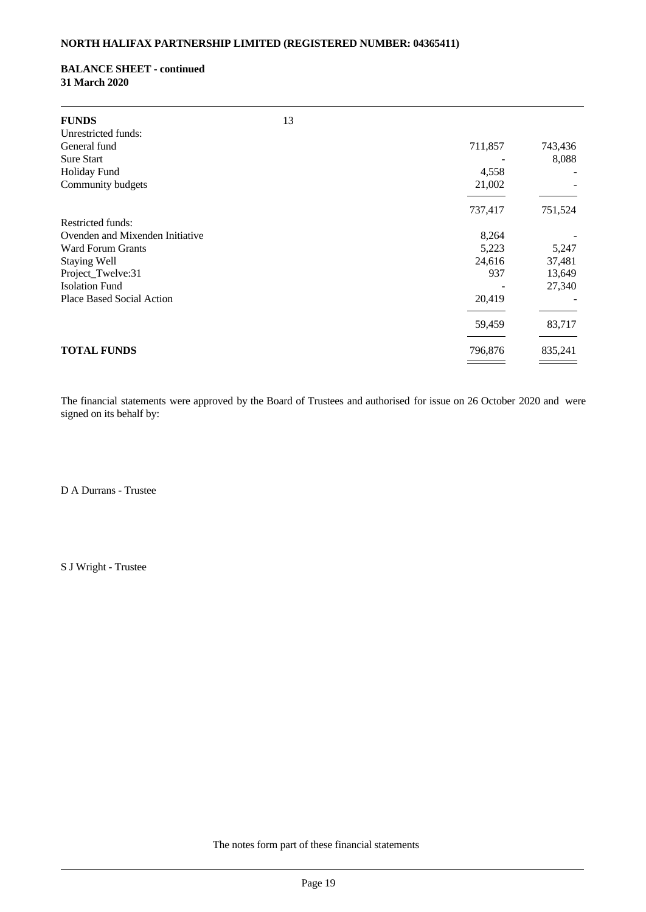## **NORTH HALIFAX PARTNERSHIP LIMITED (REGISTERED NUMBER: 04365411)**

# **BALANCE SHEET - continued 31 March 2020**

| <b>FUNDS</b><br>13               |         |         |
|----------------------------------|---------|---------|
| Unrestricted funds:              |         |         |
| General fund                     | 711,857 | 743,436 |
| Sure Start                       |         | 8,088   |
| Holiday Fund                     | 4,558   | ۰       |
| Community budgets                | 21,002  | ۰       |
|                                  |         |         |
|                                  | 737,417 | 751,524 |
| Restricted funds:                |         |         |
| Ovenden and Mixenden Initiative  | 8,264   |         |
| <b>Ward Forum Grants</b>         | 5,223   | 5,247   |
| <b>Staying Well</b>              | 24,616  | 37,481  |
| Project_Twelve:31                | 937     | 13,649  |
| <b>Isolation Fund</b>            |         | 27,340  |
| <b>Place Based Social Action</b> | 20,419  |         |
|                                  |         |         |
|                                  | 59,459  | 83,717  |
|                                  |         |         |
| <b>TOTAL FUNDS</b>               | 796,876 | 835,241 |
|                                  |         |         |

The financial statements were approved by the Board of Trustees and authorised for issue on 26 October 2020 and were signed on its behalf by:

D A Durrans - Trustee

S J Wright - Trustee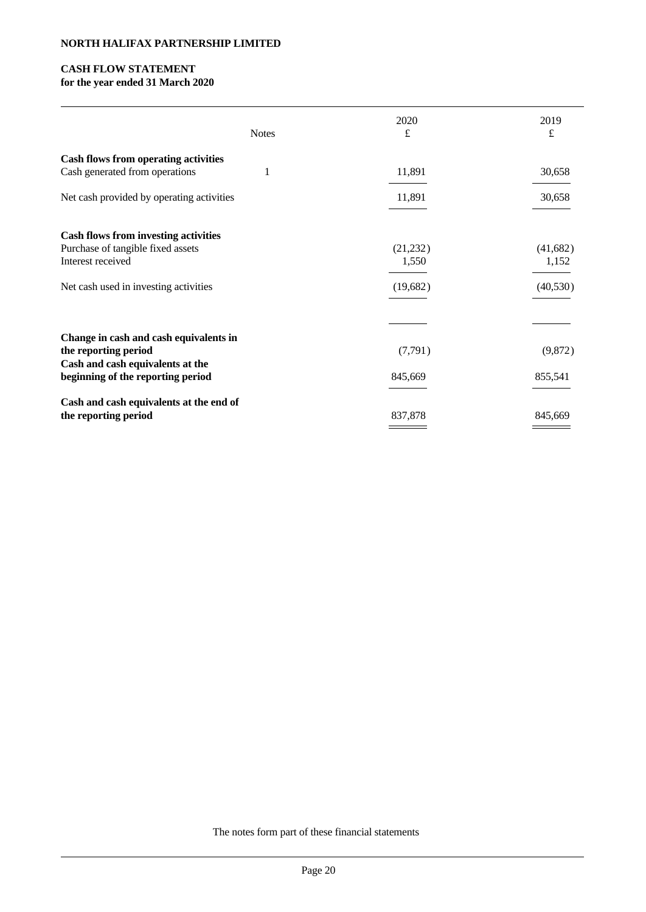# **CASH FLOW STATEMENT for the year ended 31 March 2020**

|                                                                | <b>Notes</b> | 2020<br>£ | 2019<br>£ |
|----------------------------------------------------------------|--------------|-----------|-----------|
| <b>Cash flows from operating activities</b>                    |              |           |           |
| Cash generated from operations                                 |              | 11,891    | 30,658    |
| Net cash provided by operating activities                      |              | 11,891    | 30,658    |
| <b>Cash flows from investing activities</b>                    |              |           |           |
| Purchase of tangible fixed assets                              |              | (21,232)  | (41,682)  |
| Interest received                                              |              | 1,550     | 1,152     |
| Net cash used in investing activities                          |              | (19,682)  | (40, 530) |
|                                                                |              |           |           |
| Change in cash and cash equivalents in<br>the reporting period |              | (7,791)   | (9,872)   |
| Cash and cash equivalents at the                               |              |           |           |
| beginning of the reporting period                              |              | 845,669   | 855,541   |
| Cash and cash equivalents at the end of                        |              |           |           |
| the reporting period                                           |              | 837,878   | 845,669   |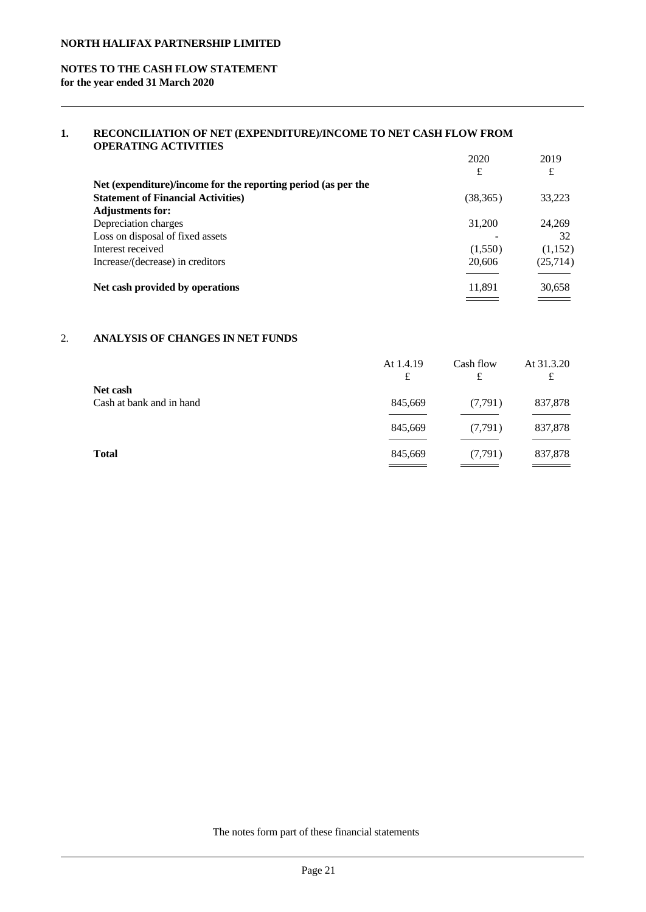# **NOTES TO THE CASH FLOW STATEMENT for the year ended 31 March 2020**

## **1. RECONCILIATION OF NET (EXPENDITURE)/INCOME TO NET CASH FLOW FROM OPERATING ACTIVITIES**

|                                                               | 2020      | 2019     |  |
|---------------------------------------------------------------|-----------|----------|--|
|                                                               | £         | £        |  |
| Net (expenditure)/income for the reporting period (as per the |           |          |  |
| <b>Statement of Financial Activities)</b>                     | (38, 365) | 33.223   |  |
| <b>Adjustments for:</b>                                       |           |          |  |
| Depreciation charges                                          | 31,200    | 24,269   |  |
| Loss on disposal of fixed assets                              | -         | 32       |  |
| Interest received                                             | (1,550)   | (1,152)  |  |
| Increase/(decrease) in creditors                              | 20,606    | (25,714) |  |
|                                                               |           |          |  |
| Net cash provided by operations                               | 11,891    | 30,658   |  |
|                                                               |           |          |  |

#### 2. **ANALYSIS OF CHANGES IN NET FUNDS**

| Net cash                 | At 1.4.19<br>£ | Cash flow<br>£ | At 31.3.20<br>£ |
|--------------------------|----------------|----------------|-----------------|
| Cash at bank and in hand | 845,669        | (7,791)        | 837,878         |
|                          | 845,669        | (7,791)        | 837,878         |
| <b>Total</b>             | 845,669        | (7,791)        | 837,878         |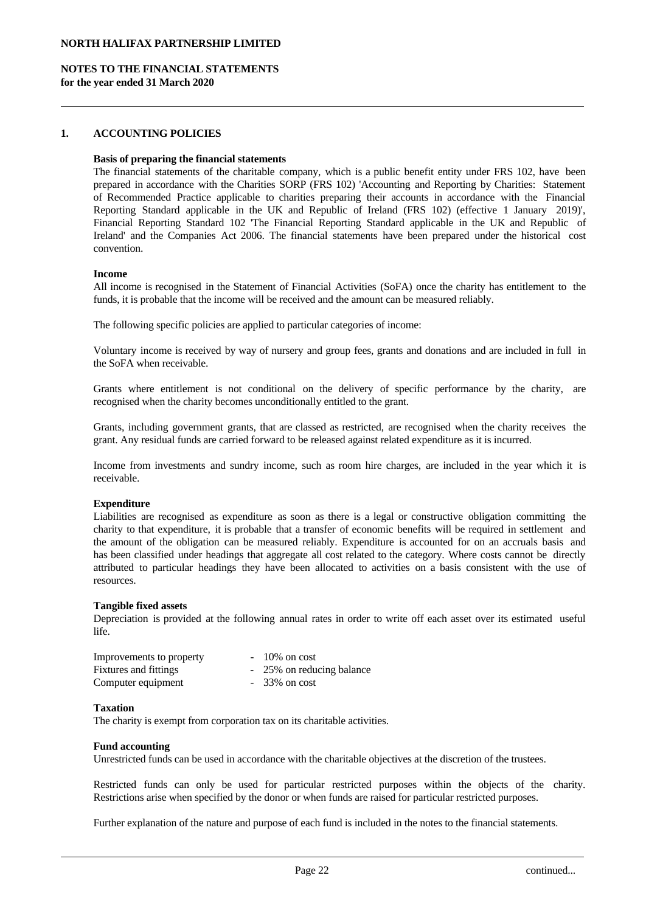# **NOTES TO THE FINANCIAL STATEMENTS for the year ended 31 March 2020**

#### **1. ACCOUNTING POLICIES**

#### **Basis of preparing the financial statements**

The financial statements of the charitable company, which is a public benefit entity under FRS 102, have been prepared in accordance with the Charities SORP (FRS 102) 'Accounting and Reporting by Charities: Statement of Recommended Practice applicable to charities preparing their accounts in accordance with the Financial Reporting Standard applicable in the UK and Republic of Ireland (FRS 102) (effective 1 January 2019)', Financial Reporting Standard 102 'The Financial Reporting Standard applicable in the UK and Republic of Ireland' and the Companies Act 2006. The financial statements have been prepared under the historical cost convention.

#### **Income**

All income is recognised in the Statement of Financial Activities (SoFA) once the charity has entitlement to the funds, it is probable that the income will be received and the amount can be measured reliably.

The following specific policies are applied to particular categories of income:

Voluntary income is received by way of nursery and group fees, grants and donations and are included in full in the SoFA when receivable.

Grants where entitlement is not conditional on the delivery of specific performance by the charity, are recognised when the charity becomes unconditionally entitled to the grant.

Grants, including government grants, that are classed as restricted, are recognised when the charity receives the grant. Any residual funds are carried forward to be released against related expenditure as it is incurred.

Income from investments and sundry income, such as room hire charges, are included in the year which it is receivable.

#### **Expenditure**

Liabilities are recognised as expenditure as soon as there is a legal or constructive obligation committing the charity to that expenditure, it is probable that a transfer of economic benefits will be required in settlement and the amount of the obligation can be measured reliably. Expenditure is accounted for on an accruals basis and has been classified under headings that aggregate all cost related to the category. Where costs cannot be directly attributed to particular headings they have been allocated to activities on a basis consistent with the use of resources.

#### **Tangible fixed assets**

Depreciation is provided at the following annual rates in order to write off each asset over its estimated useful life.

| Improvements to property     | $-10\%$ on cost           |
|------------------------------|---------------------------|
| <b>Fixtures and fittings</b> | - 25% on reducing balance |
| Computer equipment           | $-33\%$ on cost           |

#### **Taxation**

The charity is exempt from corporation tax on its charitable activities.

#### **Fund accounting**

Unrestricted funds can be used in accordance with the charitable objectives at the discretion of the trustees.

Restricted funds can only be used for particular restricted purposes within the objects of the charity. Restrictions arise when specified by the donor or when funds are raised for particular restricted purposes.

Further explanation of the nature and purpose of each fund is included in the notes to the financial statements.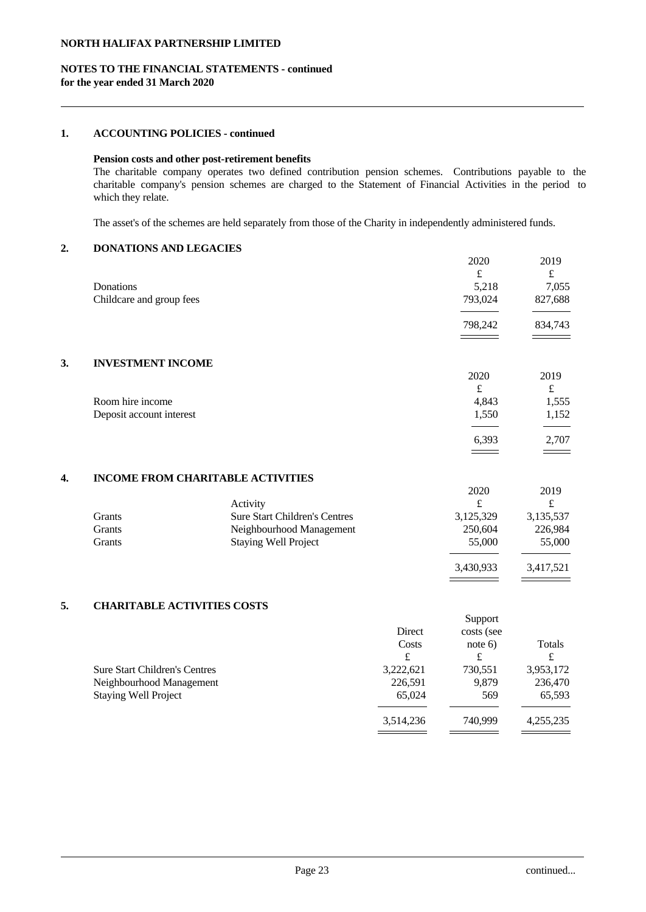# **NOTES TO THE FINANCIAL STATEMENTS - continued for the year ended 31 March 2020**

#### **1. ACCOUNTING POLICIES - continued**

# **Pension costs and other post-retirement benefits**

The charitable company operates two defined contribution pension schemes. Contributions payable to the charitable company's pension schemes are charged to the Statement of Financial Activities in the period to which they relate.

The asset's of the schemes are held separately from those of the Charity in independently administered funds.

#### **2. DONATIONS AND LEGACIES**

|                          |                                      |                                     | 2020                   | 2019              |
|--------------------------|--------------------------------------|-------------------------------------|------------------------|-------------------|
|                          |                                      |                                     | £                      | £                 |
| Donations                |                                      |                                     | 5,218                  | 7,055             |
| Childcare and group fees |                                      |                                     | 793,024                | 827,688           |
|                          |                                      |                                     | 798,242                | 834,743           |
|                          |                                      |                                     |                        |                   |
| <b>INVESTMENT INCOME</b> |                                      |                                     |                        |                   |
|                          |                                      |                                     | 2020                   | 2019              |
|                          |                                      |                                     | $\pounds$              | £                 |
| Room hire income         |                                      |                                     | 4,843                  | 1,555             |
| Deposit account interest |                                      |                                     | 1,550                  | 1,152             |
|                          |                                      |                                     | 6,393                  | 2,707             |
|                          |                                      |                                     |                        | $\equiv$ $\equiv$ |
|                          | INCOME FROM CHARITABLE ACTIVITIES    |                                     |                        |                   |
|                          |                                      |                                     | 2020                   | 2019              |
|                          | Activity                             |                                     | $\pounds$              | $\pounds$         |
| Grants                   | <b>Sure Start Children's Centres</b> |                                     | 3,125,329              | 3,135,537         |
| Grants                   | Neighbourhood Management             |                                     | 250,604                | 226,984           |
| Grants                   | <b>Staying Well Project</b>          |                                     | 55,000                 | 55,000            |
|                          |                                      |                                     | 3,430,933              | 3,417,521         |
|                          |                                      |                                     |                        |                   |
|                          | <b>CHARITABLE ACTIVITIES COSTS</b>   |                                     |                        |                   |
|                          |                                      |                                     | Support                |                   |
|                          |                                      | Direct<br>$C_{\alpha \circ \alpha}$ | costs (see<br>noto $6$ | Totalc            |
|                          |                                      |                                     |                        |                   |

|                                      | Costs     | note $6)$ | Totals    |
|--------------------------------------|-----------|-----------|-----------|
|                                      |           | ┻         | ىم        |
| <b>Sure Start Children's Centres</b> | 3,222,621 | 730,551   | 3,953,172 |
| Neighbourhood Management             | 226,591   | 9,879     | 236,470   |
| <b>Staying Well Project</b>          | 65,024    | 569       | 65,593    |
|                                      |           |           |           |
|                                      | 3,514,236 | 740.999   | 4,255,235 |
|                                      |           |           |           |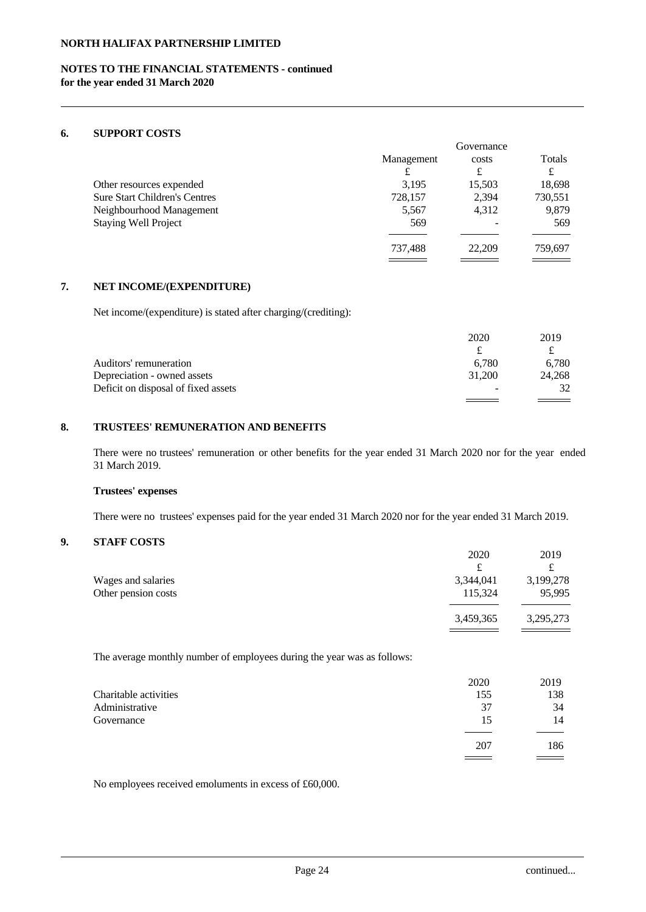# **NOTES TO THE FINANCIAL STATEMENTS - continued for the year ended 31 March 2020**

# **6. SUPPORT COSTS**

|                                      | Governance |                          |         |  |
|--------------------------------------|------------|--------------------------|---------|--|
|                                      | Management | costs<br>£               | Totals  |  |
|                                      | ىد         |                          | £       |  |
| Other resources expended             | 3,195      | 15,503                   | 18,698  |  |
| <b>Sure Start Children's Centres</b> | 728,157    | 2,394                    | 730,551 |  |
| Neighbourhood Management             | 5,567      | 4,312                    | 9,879   |  |
| <b>Staying Well Project</b>          | 569        | $\overline{\phantom{0}}$ | 569     |  |
|                                      | 737,488    | 22,209                   | 759,697 |  |
|                                      |            |                          |         |  |

#### **7. NET INCOME/(EXPENDITURE)**

Net income/(expenditure) is stated after charging/(crediting):

|                                     | 2020                     | 2019   |  |
|-------------------------------------|--------------------------|--------|--|
|                                     |                          |        |  |
| Auditors' remuneration              | 6.780                    | 6.780  |  |
| Depreciation - owned assets         | 31,200                   | 24,268 |  |
| Deficit on disposal of fixed assets | $\overline{\phantom{a}}$ | 32     |  |
|                                     |                          |        |  |

# **8. TRUSTEES' REMUNERATION AND BENEFITS**

There were no trustees' remuneration or other benefits for the year ended 31 March 2020 nor for the year ended 31 March 2019.

# **Trustees' expenses**

There were no trustees' expenses paid for the year ended 31 March 2020 nor for the year ended 31 March 2019.

#### **9. STAFF COSTS**

| 2020      | 2019      |
|-----------|-----------|
| £.        | ىم        |
| 3,344,041 | 3,199,278 |
| 115,324   | 95,995    |
|           |           |
| 3,459,365 | 3,295,273 |
|           |           |

The average monthly number of employees during the year was as follows:

| 155 | 138 |  |
|-----|-----|--|
| 37  | 34  |  |
| 15  | 14  |  |
|     |     |  |
| 207 | 186 |  |
|     |     |  |

No employees received emoluments in excess of £60,000.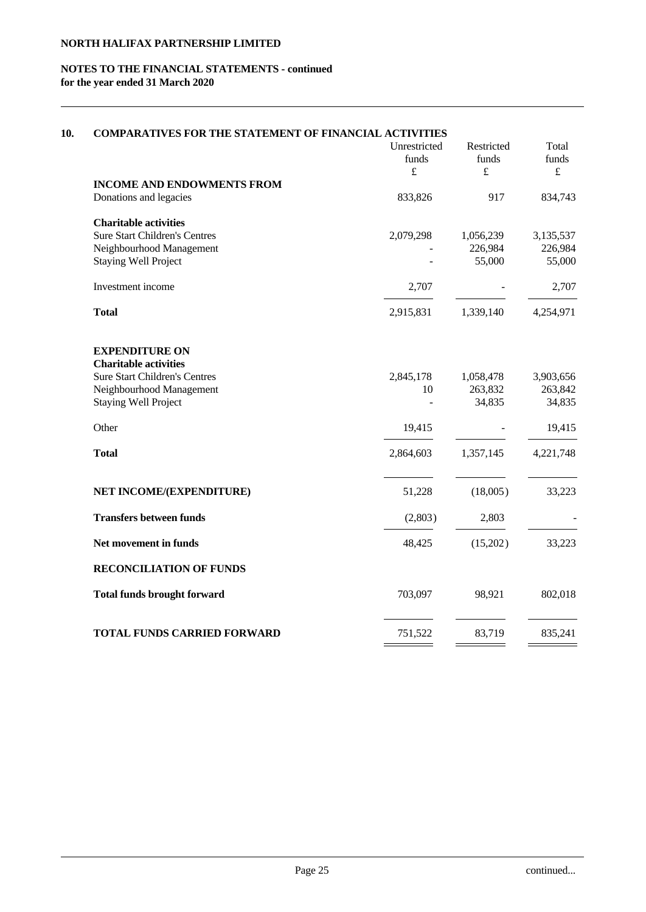# **NOTES TO THE FINANCIAL STATEMENTS - continued for the year ended 31 March 2020**

|                                                         | Unrestricted<br>funds<br>$\pounds$ | Restricted<br>funds<br>$\pounds$ | Total<br>funds<br>$\pounds$ |
|---------------------------------------------------------|------------------------------------|----------------------------------|-----------------------------|
| <b>INCOME AND ENDOWMENTS FROM</b>                       |                                    |                                  |                             |
| Donations and legacies                                  | 833,826                            | 917                              | 834,743                     |
| <b>Charitable activities</b>                            |                                    |                                  |                             |
| <b>Sure Start Children's Centres</b>                    | 2,079,298                          | 1,056,239                        | 3,135,537                   |
| Neighbourhood Management                                |                                    | 226,984                          | 226,984                     |
| <b>Staying Well Project</b>                             |                                    | 55,000                           | 55,000                      |
| Investment income                                       | 2,707                              |                                  | 2,707                       |
| <b>Total</b>                                            | 2,915,831                          | 1,339,140                        | 4,254,971                   |
| <b>EXPENDITURE ON</b>                                   |                                    |                                  |                             |
| <b>Charitable activities</b>                            |                                    |                                  |                             |
| <b>Sure Start Children's Centres</b>                    | 2,845,178                          | 1,058,478                        | 3,903,656                   |
| Neighbourhood Management<br><b>Staying Well Project</b> | 10                                 | 263,832<br>34,835                | 263,842<br>34,835           |
|                                                         |                                    |                                  |                             |
| Other                                                   | 19,415                             |                                  | 19,415                      |
| <b>Total</b>                                            | 2,864,603                          | 1,357,145                        | 4,221,748                   |
| NET INCOME/(EXPENDITURE)                                | 51,228                             | (18,005)                         | 33,223                      |
| <b>Transfers between funds</b>                          | (2,803)                            | 2,803                            |                             |
| Net movement in funds                                   | 48,425                             | (15,202)                         | 33,223                      |
| <b>RECONCILIATION OF FUNDS</b>                          |                                    |                                  |                             |
| <b>Total funds brought forward</b>                      | 703,097                            | 98,921                           | 802,018                     |
| <b>TOTAL FUNDS CARRIED FORWARD</b>                      | 751,522                            | 83,719                           | 835,241                     |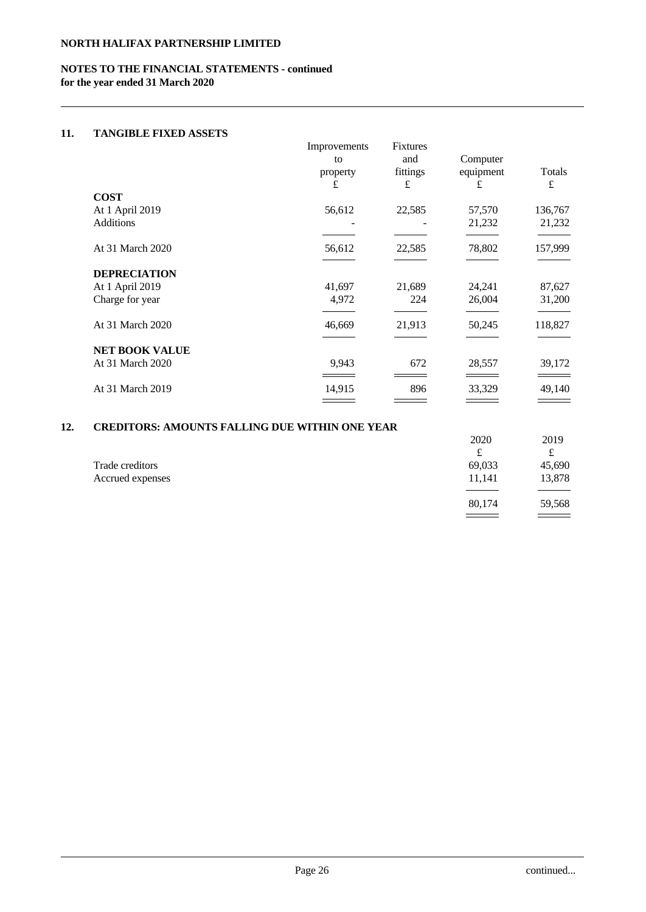# **NOTES TO THE FINANCIAL STATEMENTS - continued for the year ended 31 March 2020**

# **11. TANGIBLE FIXED ASSETS**

|                       | Improvements | Fixtures |           |         |  |
|-----------------------|--------------|----------|-----------|---------|--|
|                       | to           | and      | Computer  |         |  |
|                       | property     | fittings | equipment | Totals  |  |
|                       | £            | £        | £         | £       |  |
| <b>COST</b>           |              |          |           |         |  |
| At 1 April 2019       | 56,612       | 22,585   | 57,570    | 136,767 |  |
| <b>Additions</b>      |              |          | 21,232    | 21,232  |  |
|                       |              |          |           |         |  |
| At 31 March 2020      | 56,612       | 22,585   | 78,802    | 157,999 |  |
|                       |              |          |           |         |  |
| <b>DEPRECIATION</b>   |              |          |           |         |  |
| At 1 April 2019       | 41,697       | 21,689   | 24,241    | 87,627  |  |
| Charge for year       | 4,972        | 224      | 26,004    | 31,200  |  |
|                       |              |          |           |         |  |
| At 31 March 2020      | 46,669       | 21,913   | 50,245    | 118,827 |  |
|                       |              |          |           |         |  |
| <b>NET BOOK VALUE</b> |              |          |           |         |  |
| At 31 March 2020      | 9,943        | 672      | 28,557    | 39,172  |  |
|                       |              |          |           |         |  |
| At 31 March 2019      | 14,915       | 896      | 33,329    | 49,140  |  |
|                       |              |          |           |         |  |

# **12. CREDITORS: AMOUNTS FALLING DUE WITHIN ONE YEAR**

|                  | 2020   | 2019   |  |
|------------------|--------|--------|--|
|                  | £      | ىد     |  |
| Trade creditors  | 69,033 | 45,690 |  |
| Accrued expenses | 11,141 | 13,878 |  |
|                  |        |        |  |
|                  | 80,174 | 59,568 |  |
|                  |        |        |  |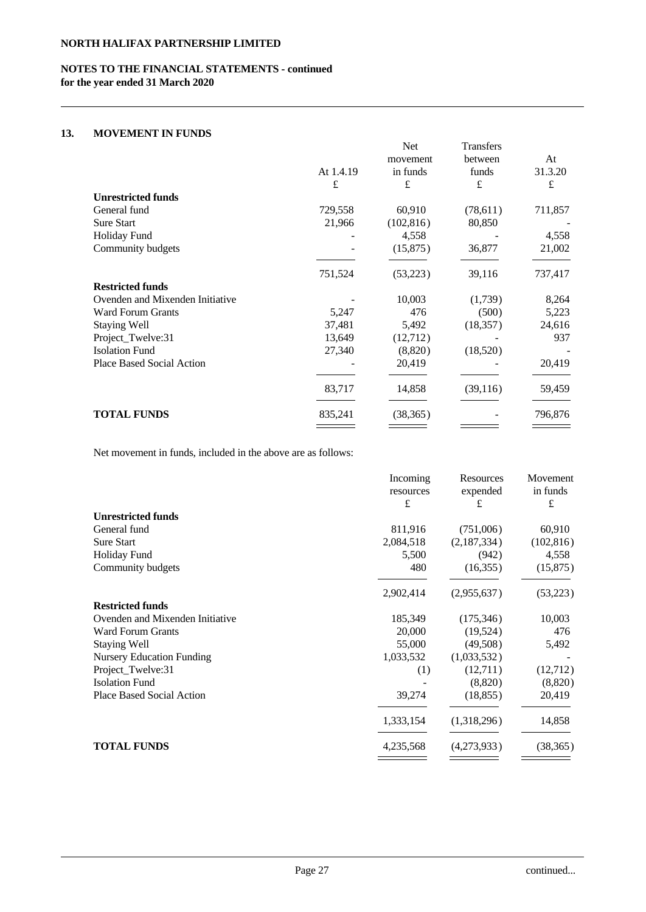# **NOTES TO THE FINANCIAL STATEMENTS - continued**

**for the year ended 31 March 2020**

# **13. MOVEMENT IN FUNDS**

|                                 |           | Net        | Transfers |         |  |
|---------------------------------|-----------|------------|-----------|---------|--|
|                                 |           | movement   | between   | At      |  |
|                                 | At 1.4.19 | in funds   | funds     | 31.3.20 |  |
|                                 | £         | £          | £         | £       |  |
| <b>Unrestricted funds</b>       |           |            |           |         |  |
| General fund                    | 729,558   | 60,910     | (78,611)  | 711,857 |  |
| Sure Start                      | 21,966    | (102, 816) | 80,850    |         |  |
| <b>Holiday Fund</b>             |           | 4,558      |           | 4,558   |  |
| Community budgets               |           | (15,875)   | 36,877    | 21,002  |  |
|                                 | 751,524   | (53,223)   | 39,116    | 737,417 |  |
| <b>Restricted funds</b>         |           |            |           |         |  |
| Ovenden and Mixenden Initiative |           | 10,003     | (1,739)   | 8,264   |  |
| Ward Forum Grants               | 5,247     | 476        | (500)     | 5,223   |  |
| <b>Staying Well</b>             | 37,481    | 5,492      | (18, 357) | 24,616  |  |
| Project_Twelve:31               | 13,649    | (12,712)   |           | 937     |  |
| <b>Isolation Fund</b>           | 27,340    | (8,820)    | (18,520)  |         |  |
| Place Based Social Action       |           | 20,419     |           | 20,419  |  |
|                                 | 83,717    | 14,858     | (39,116)  | 59,459  |  |
| <b>TOTAL FUNDS</b>              | 835,241   | (38, 365)  |           | 796,876 |  |
|                                 |           |            |           |         |  |

Net movement in funds, included in the above are as follows:

|                                  | Incoming  | Resources   | Movement   |
|----------------------------------|-----------|-------------|------------|
|                                  | resources | expended    | in funds   |
|                                  | £         | £           | £          |
| <b>Unrestricted funds</b>        |           |             |            |
| General fund                     | 811,916   | (751,006)   | 60,910     |
| <b>Sure Start</b>                | 2,084,518 | (2,187,334) | (102, 816) |
| <b>Holiday Fund</b>              | 5,500     | (942)       | 4,558      |
| Community budgets                | 480       | (16,355)    | (15,875)   |
|                                  | 2,902,414 | (2,955,637) | (53,223)   |
| <b>Restricted funds</b>          |           |             |            |
| Ovenden and Mixenden Initiative  | 185,349   | (175, 346)  | 10,003     |
| <b>Ward Forum Grants</b>         | 20,000    | (19,524)    | 476        |
| <b>Staying Well</b>              | 55,000    | (49,508)    | 5,492      |
| <b>Nursery Education Funding</b> | 1,033,532 | (1,033,532) |            |
| Project_Twelve:31                | (1)       | (12,711)    | (12,712)   |
| <b>Isolation Fund</b>            |           | (8,820)     | (8,820)    |
| <b>Place Based Social Action</b> | 39,274    | (18, 855)   | 20,419     |
|                                  | 1,333,154 | (1,318,296) | 14,858     |
| <b>TOTAL FUNDS</b>               | 4,235,568 | (4,273,933) | (38, 365)  |
|                                  |           |             |            |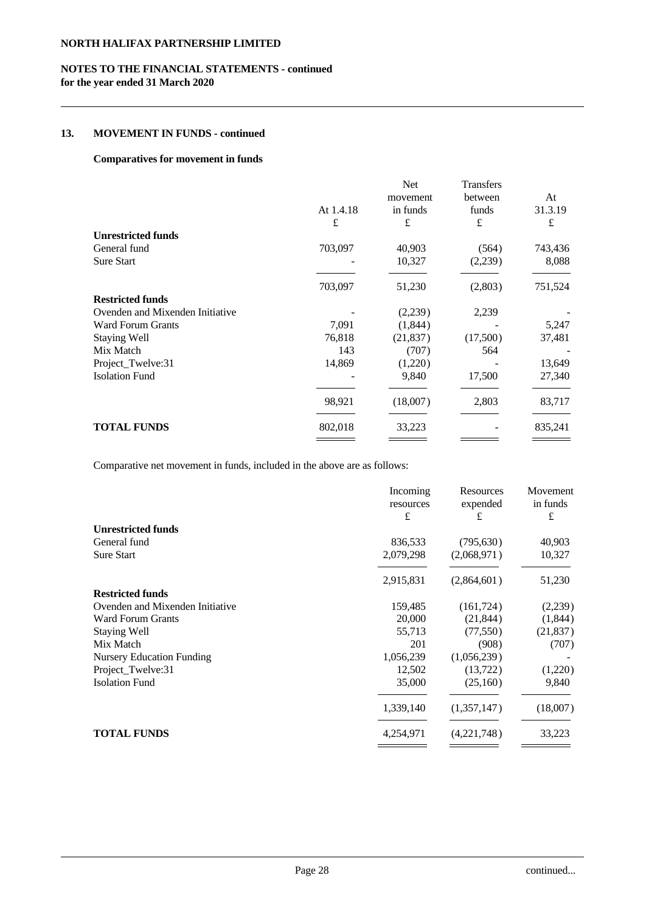# **NOTES TO THE FINANCIAL STATEMENTS - continued**

**for the year ended 31 March 2020**

#### **13. MOVEMENT IN FUNDS - continued**

# **Comparatives for movement in funds**

|                                 |           | <b>Net</b> | Transfers |         |  |
|---------------------------------|-----------|------------|-----------|---------|--|
|                                 |           | movement   | between   | At      |  |
|                                 | At 1.4.18 | in funds   | funds     | 31.3.19 |  |
|                                 | £         | £          | £         | £       |  |
| <b>Unrestricted funds</b>       |           |            |           |         |  |
| General fund                    | 703,097   | 40,903     | (564)     | 743,436 |  |
| Sure Start                      |           | 10,327     | (2,239)   | 8,088   |  |
|                                 | 703,097   | 51,230     | (2,803)   | 751,524 |  |
| <b>Restricted funds</b>         |           |            |           |         |  |
| Ovenden and Mixenden Initiative |           | (2,239)    | 2,239     |         |  |
| <b>Ward Forum Grants</b>        | 7,091     | (1,844)    |           | 5,247   |  |
| <b>Staying Well</b>             | 76,818    | (21, 837)  | (17,500)  | 37,481  |  |
| Mix Match                       | 143       | (707)      | 564       |         |  |
| Project_Twelve:31               | 14,869    | (1,220)    |           | 13,649  |  |
| <b>Isolation Fund</b>           |           | 9,840      | 17,500    | 27,340  |  |
|                                 | 98,921    | (18,007)   | 2,803     | 83,717  |  |
| <b>TOTAL FUNDS</b>              | 802,018   | 33,223     |           | 835,241 |  |
|                                 |           |            |           |         |  |

Comparative net movement in funds, included in the above are as follows:

|                                  | Incoming<br>resources | Resources<br>expended | Movement<br>in funds |  |
|----------------------------------|-----------------------|-----------------------|----------------------|--|
|                                  | £                     | £                     | £                    |  |
| <b>Unrestricted funds</b>        |                       |                       |                      |  |
| General fund                     | 836,533               | (795, 630)            | 40,903               |  |
| <b>Sure Start</b>                | 2,079,298             | (2,068,971)           | 10,327               |  |
|                                  | 2,915,831             | (2,864,601)           | 51,230               |  |
| <b>Restricted funds</b>          |                       |                       |                      |  |
| Ovenden and Mixenden Initiative  | 159,485               | (161, 724)            | (2,239)              |  |
| <b>Ward Forum Grants</b>         | 20,000                | (21, 844)             | (1,844)              |  |
| <b>Staying Well</b>              | 55,713                | (77,550)              | (21, 837)            |  |
| Mix Match                        | 201                   | (908)                 | (707)                |  |
| <b>Nursery Education Funding</b> | 1,056,239             | (1,056,239)           |                      |  |
| Project_Twelve:31                | 12,502                | (13,722)              | (1,220)              |  |
| <b>Isolation Fund</b>            | 35,000                | (25,160)              | 9,840                |  |
|                                  | 1,339,140             | (1,357,147)           | (18,007)             |  |
| <b>TOTAL FUNDS</b>               | 4,254,971             | (4,221,748)           | 33,223               |  |
|                                  |                       |                       |                      |  |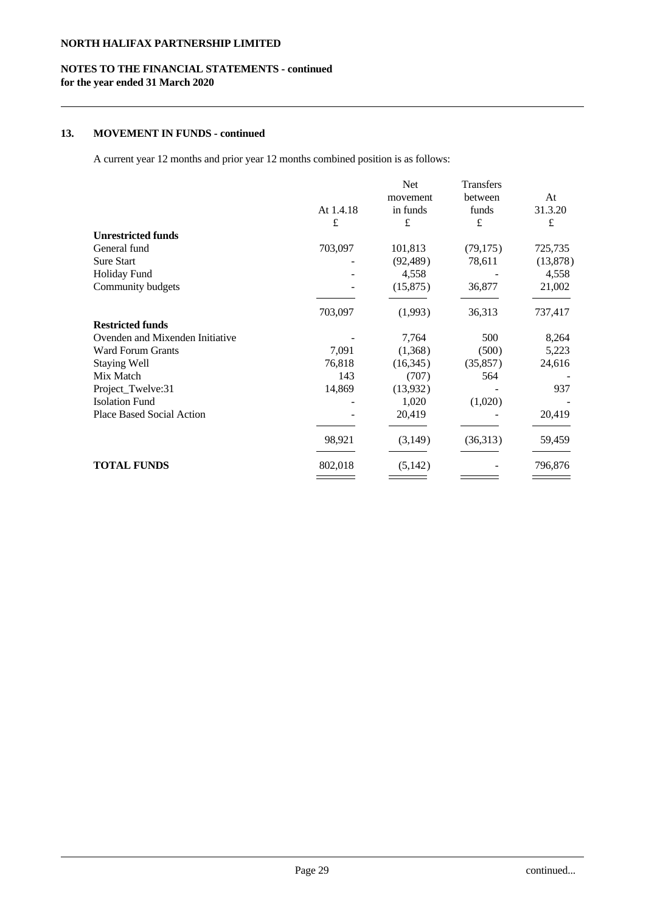# **NOTES TO THE FINANCIAL STATEMENTS - continued for the year ended 31 March 2020**

# **13. MOVEMENT IN FUNDS - continued**

A current year 12 months and prior year 12 months combined position is as follows:

|                                 |           | Net       | Transfers |          |  |
|---------------------------------|-----------|-----------|-----------|----------|--|
|                                 |           | movement  | between   | At       |  |
|                                 | At 1.4.18 | in funds  | funds     | 31.3.20  |  |
|                                 | £         | £         | £         | £        |  |
| <b>Unrestricted funds</b>       |           |           |           |          |  |
| General fund                    | 703,097   | 101,813   | (79, 175) | 725,735  |  |
| <b>Sure Start</b>               |           | (92, 489) | 78,611    | (13,878) |  |
| Holiday Fund                    |           | 4,558     |           | 4,558    |  |
| Community budgets               |           | (15, 875) | 36,877    | 21,002   |  |
|                                 | 703,097   | (1,993)   | 36,313    | 737,417  |  |
| <b>Restricted funds</b>         |           |           |           |          |  |
| Ovenden and Mixenden Initiative |           | 7,764     | 500       | 8,264    |  |
| <b>Ward Forum Grants</b>        | 7,091     | (1,368)   | (500)     | 5,223    |  |
| <b>Staying Well</b>             | 76,818    | (16,345)  | (35, 857) | 24,616   |  |
| Mix Match                       | 143       | (707)     | 564       |          |  |
| Project_Twelve:31               | 14,869    | (13,932)  |           | 937      |  |
| <b>Isolation Fund</b>           |           | 1,020     | (1,020)   |          |  |
| Place Based Social Action       |           | 20,419    |           | 20,419   |  |
|                                 | 98,921    | (3,149)   | (36,313)  | 59,459   |  |
| <b>TOTAL FUNDS</b>              | 802,018   | (5,142)   |           | 796,876  |  |
|                                 |           |           |           |          |  |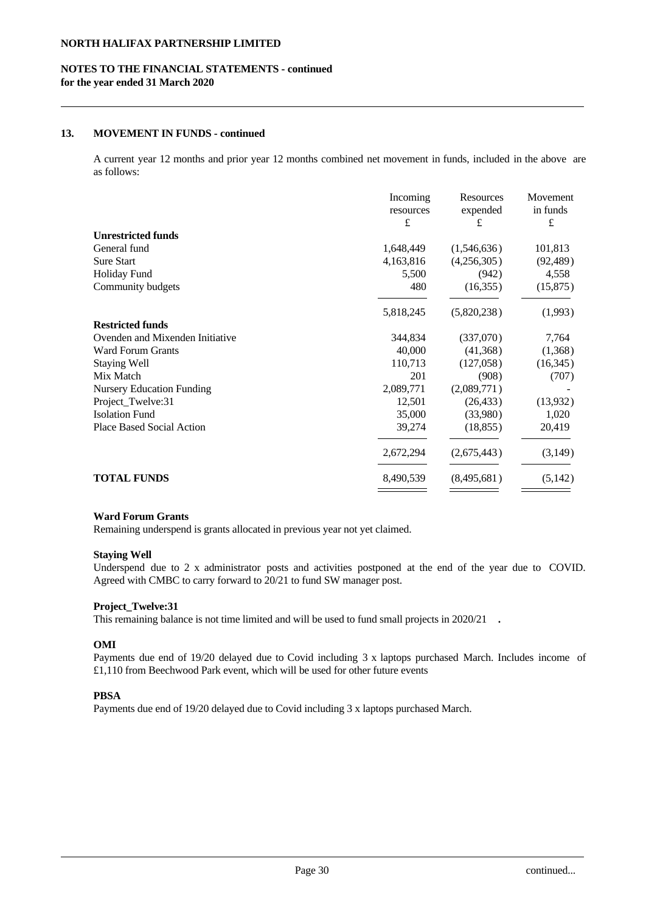# **NOTES TO THE FINANCIAL STATEMENTS - continued for the year ended 31 March 2020**

#### **13. MOVEMENT IN FUNDS - continued**

A current year 12 months and prior year 12 months combined net movement in funds, included in the above are as follows:

|                                  | Incoming<br>resources<br>£ | Resources<br>expended<br>£ | Movement<br>in funds<br>£ |  |
|----------------------------------|----------------------------|----------------------------|---------------------------|--|
| <b>Unrestricted funds</b>        |                            |                            |                           |  |
| General fund                     | 1,648,449                  | (1,546,636)                | 101,813                   |  |
| <b>Sure Start</b>                | 4,163,816                  | (4,256,305)                | (92, 489)                 |  |
| <b>Holiday Fund</b>              | 5,500                      | (942)                      | 4,558                     |  |
| Community budgets                | 480                        | (16, 355)                  | (15,875)                  |  |
|                                  | 5,818,245                  | (5,820,238)                | (1,993)                   |  |
| <b>Restricted funds</b>          |                            |                            |                           |  |
| Ovenden and Mixenden Initiative  | 344,834                    | (337,070)                  | 7,764                     |  |
| <b>Ward Forum Grants</b>         | 40,000                     | (41,368)                   | (1,368)                   |  |
| <b>Staying Well</b>              | 110,713                    | (127,058)                  | (16, 345)                 |  |
| Mix Match                        | 201                        | (908)                      | (707)                     |  |
| <b>Nursery Education Funding</b> | 2,089,771                  | (2,089,771)                |                           |  |
| Project_Twelve:31                | 12,501                     | (26, 433)                  | (13,932)                  |  |
| <b>Isolation Fund</b>            | 35,000                     | (33,980)                   | 1,020                     |  |
| <b>Place Based Social Action</b> | 39,274                     | (18, 855)                  | 20,419                    |  |
|                                  | 2,672,294                  | (2,675,443)                | (3,149)                   |  |
| <b>TOTAL FUNDS</b>               | 8,490,539                  | (8,495,681)                | (5,142)                   |  |
|                                  |                            |                            |                           |  |

#### **Ward Forum Grants**

Remaining underspend is grants allocated in previous year not yet claimed.

#### **Staying Well**

Underspend due to  $2 \times$  administrator posts and activities postponed at the end of the year due to COVID. Agreed with CMBC to carry forward to 20/21 to fund SW manager post.

#### **Project\_Twelve:31**

This remaining balance is not time limited and will be used to fund small projects in 2020/21 **.**

### **OMI**

Payments due end of 19/20 delayed due to Covid including 3 x laptops purchased March. Includes income of £1,110 from Beechwood Park event, which will be used for other future events

#### **PBSA**

Payments due end of 19/20 delayed due to Covid including 3 x laptops purchased March.